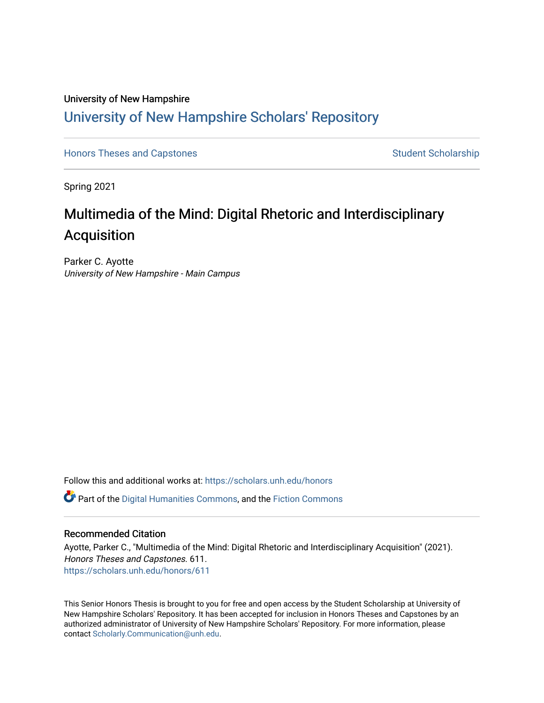# University of New Hampshire [University of New Hampshire Scholars' Repository](https://scholars.unh.edu/)

[Honors Theses and Capstones](https://scholars.unh.edu/honors) [Student Scholarship](https://scholars.unh.edu/student) Student Scholarship

Spring 2021

# Multimedia of the Mind: Digital Rhetoric and Interdisciplinary Acquisition

Parker C. Ayotte University of New Hampshire - Main Campus

Follow this and additional works at: [https://scholars.unh.edu/honors](https://scholars.unh.edu/honors?utm_source=scholars.unh.edu%2Fhonors%2F611&utm_medium=PDF&utm_campaign=PDFCoverPages) 

Part of the [Digital Humanities Commons](http://network.bepress.com/hgg/discipline/1286?utm_source=scholars.unh.edu%2Fhonors%2F611&utm_medium=PDF&utm_campaign=PDFCoverPages), and the [Fiction Commons](http://network.bepress.com/hgg/discipline/1151?utm_source=scholars.unh.edu%2Fhonors%2F611&utm_medium=PDF&utm_campaign=PDFCoverPages)

#### Recommended Citation

Ayotte, Parker C., "Multimedia of the Mind: Digital Rhetoric and Interdisciplinary Acquisition" (2021). Honors Theses and Capstones. 611. [https://scholars.unh.edu/honors/611](https://scholars.unh.edu/honors/611?utm_source=scholars.unh.edu%2Fhonors%2F611&utm_medium=PDF&utm_campaign=PDFCoverPages) 

This Senior Honors Thesis is brought to you for free and open access by the Student Scholarship at University of New Hampshire Scholars' Repository. It has been accepted for inclusion in Honors Theses and Capstones by an authorized administrator of University of New Hampshire Scholars' Repository. For more information, please contact [Scholarly.Communication@unh.edu.](mailto:Scholarly.Communication@unh.edu)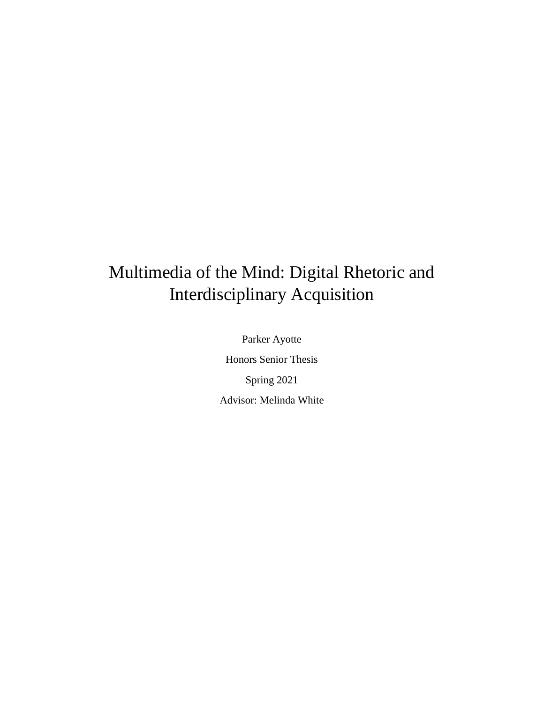# Multimedia of the Mind: Digital Rhetoric and Interdisciplinary Acquisition

Parker Ayotte Honors Senior Thesis Spring 2021 Advisor: Melinda White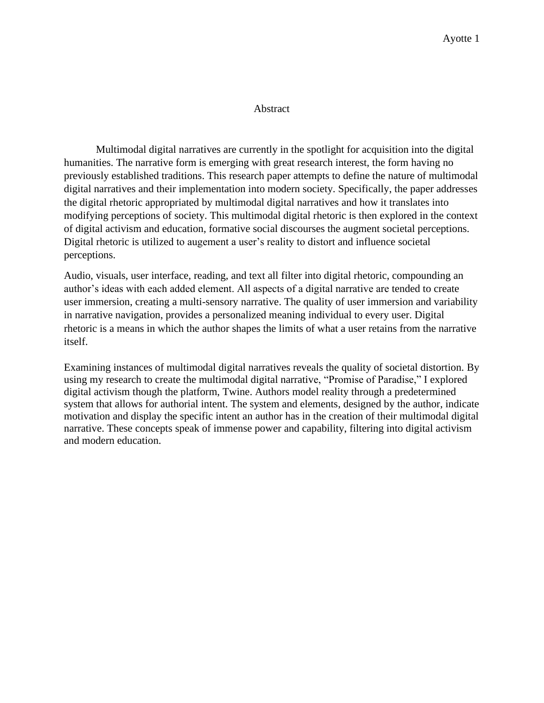### Abstract

Multimodal digital narratives are currently in the spotlight for acquisition into the digital humanities. The narrative form is emerging with great research interest, the form having no previously established traditions. This research paper attempts to define the nature of multimodal digital narratives and their implementation into modern society. Specifically, the paper addresses the digital rhetoric appropriated by multimodal digital narratives and how it translates into modifying perceptions of society. This multimodal digital rhetoric is then explored in the context of digital activism and education, formative social discourses the augment societal perceptions. Digital rhetoric is utilized to augement a user's reality to distort and influence societal perceptions.

Audio, visuals, user interface, reading, and text all filter into digital rhetoric, compounding an author's ideas with each added element. All aspects of a digital narrative are tended to create user immersion, creating a multi-sensory narrative. The quality of user immersion and variability in narrative navigation, provides a personalized meaning individual to every user. Digital rhetoric is a means in which the author shapes the limits of what a user retains from the narrative itself.

Examining instances of multimodal digital narratives reveals the quality of societal distortion. By using my research to create the multimodal digital narrative, "Promise of Paradise," I explored digital activism though the platform, Twine. Authors model reality through a predetermined system that allows for authorial intent. The system and elements, designed by the author, indicate motivation and display the specific intent an author has in the creation of their multimodal digital narrative. These concepts speak of immense power and capability, filtering into digital activism and modern education.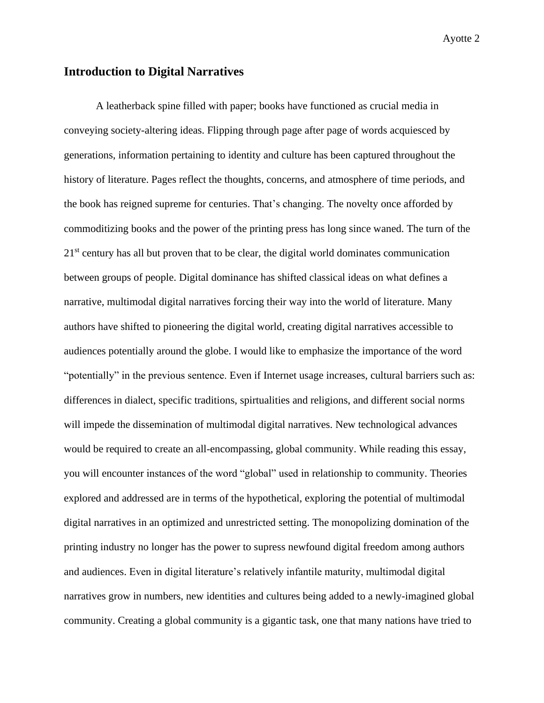# **Introduction to Digital Narratives**

A leatherback spine filled with paper; books have functioned as crucial media in conveying society-altering ideas. Flipping through page after page of words acquiesced by generations, information pertaining to identity and culture has been captured throughout the history of literature. Pages reflect the thoughts, concerns, and atmosphere of time periods, and the book has reigned supreme for centuries. That's changing. The novelty once afforded by commoditizing books and the power of the printing press has long since waned. The turn of the 21<sup>st</sup> century has all but proven that to be clear, the digital world dominates communication between groups of people. Digital dominance has shifted classical ideas on what defines a narrative, multimodal digital narratives forcing their way into the world of literature. Many authors have shifted to pioneering the digital world, creating digital narratives accessible to audiences potentially around the globe. I would like to emphasize the importance of the word "potentially" in the previous sentence. Even if Internet usage increases, cultural barriers such as: differences in dialect, specific traditions, spirtualities and religions, and different social norms will impede the dissemination of multimodal digital narratives. New technological advances would be required to create an all-encompassing, global community. While reading this essay, you will encounter instances of the word "global" used in relationship to community. Theories explored and addressed are in terms of the hypothetical, exploring the potential of multimodal digital narratives in an optimized and unrestricted setting. The monopolizing domination of the printing industry no longer has the power to supress newfound digital freedom among authors and audiences. Even in digital literature's relatively infantile maturity, multimodal digital narratives grow in numbers, new identities and cultures being added to a newly-imagined global community. Creating a global community is a gigantic task, one that many nations have tried to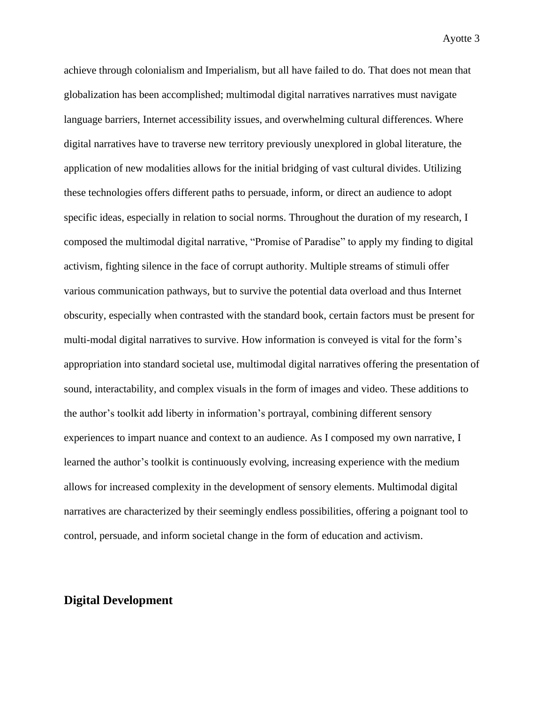achieve through colonialism and Imperialism, but all have failed to do. That does not mean that globalization has been accomplished; multimodal digital narratives narratives must navigate language barriers, Internet accessibility issues, and overwhelming cultural differences. Where digital narratives have to traverse new territory previously unexplored in global literature, the application of new modalities allows for the initial bridging of vast cultural divides. Utilizing these technologies offers different paths to persuade, inform, or direct an audience to adopt specific ideas, especially in relation to social norms. Throughout the duration of my research, I composed the multimodal digital narrative, "Promise of Paradise" to apply my finding to digital activism, fighting silence in the face of corrupt authority. Multiple streams of stimuli offer various communication pathways, but to survive the potential data overload and thus Internet obscurity, especially when contrasted with the standard book, certain factors must be present for multi-modal digital narratives to survive. How information is conveyed is vital for the form's appropriation into standard societal use, multimodal digital narratives offering the presentation of sound, interactability, and complex visuals in the form of images and video. These additions to the author's toolkit add liberty in information's portrayal, combining different sensory experiences to impart nuance and context to an audience. As I composed my own narrative, I learned the author's toolkit is continuously evolving, increasing experience with the medium allows for increased complexity in the development of sensory elements. Multimodal digital narratives are characterized by their seemingly endless possibilities, offering a poignant tool to control, persuade, and inform societal change in the form of education and activism.

# **Digital Development**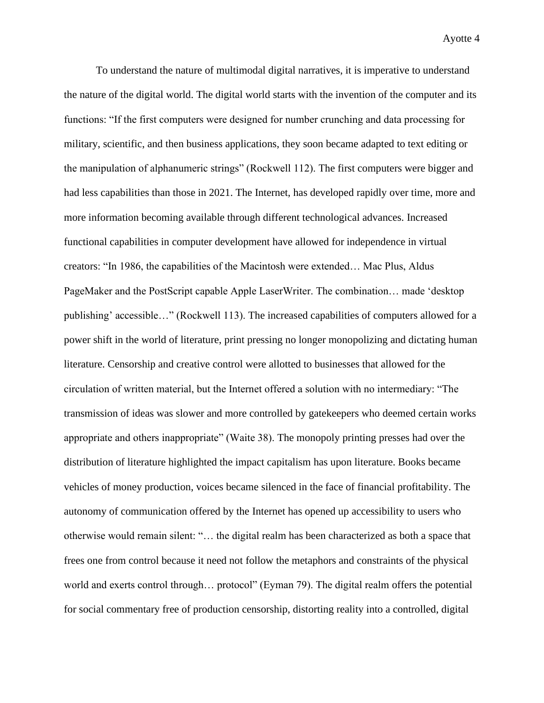To understand the nature of multimodal digital narratives, it is imperative to understand the nature of the digital world. The digital world starts with the invention of the computer and its functions: "If the first computers were designed for number crunching and data processing for military, scientific, and then business applications, they soon became adapted to text editing or the manipulation of alphanumeric strings" (Rockwell 112). The first computers were bigger and had less capabilities than those in 2021. The Internet, has developed rapidly over time, more and more information becoming available through different technological advances. Increased functional capabilities in computer development have allowed for independence in virtual creators: "In 1986, the capabilities of the Macintosh were extended… Mac Plus, Aldus PageMaker and the PostScript capable Apple LaserWriter. The combination… made 'desktop publishing' accessible…" (Rockwell 113). The increased capabilities of computers allowed for a power shift in the world of literature, print pressing no longer monopolizing and dictating human literature. Censorship and creative control were allotted to businesses that allowed for the circulation of written material, but the Internet offered a solution with no intermediary: "The transmission of ideas was slower and more controlled by gatekeepers who deemed certain works appropriate and others inappropriate" (Waite 38). The monopoly printing presses had over the distribution of literature highlighted the impact capitalism has upon literature. Books became vehicles of money production, voices became silenced in the face of financial profitability. The autonomy of communication offered by the Internet has opened up accessibility to users who otherwise would remain silent: "… the digital realm has been characterized as both a space that frees one from control because it need not follow the metaphors and constraints of the physical world and exerts control through... protocol" (Eyman 79). The digital realm offers the potential for social commentary free of production censorship, distorting reality into a controlled, digital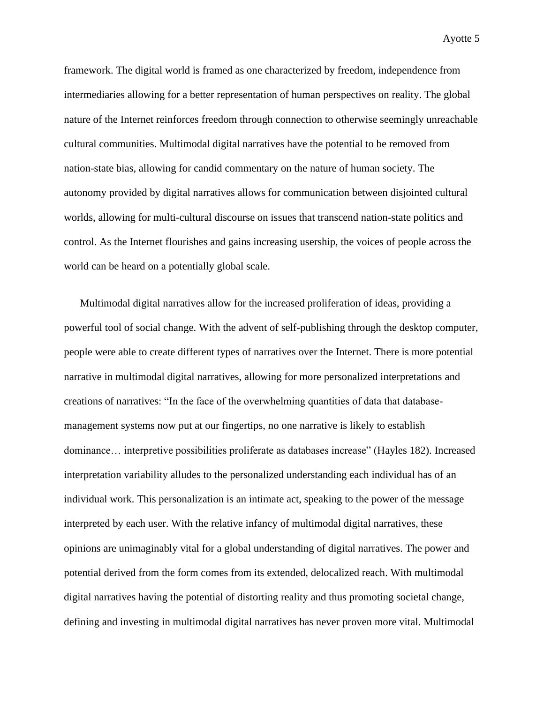framework. The digital world is framed as one characterized by freedom, independence from intermediaries allowing for a better representation of human perspectives on reality. The global nature of the Internet reinforces freedom through connection to otherwise seemingly unreachable cultural communities. Multimodal digital narratives have the potential to be removed from nation-state bias, allowing for candid commentary on the nature of human society. The autonomy provided by digital narratives allows for communication between disjointed cultural worlds, allowing for multi-cultural discourse on issues that transcend nation-state politics and control. As the Internet flourishes and gains increasing usership, the voices of people across the world can be heard on a potentially global scale.

Multimodal digital narratives allow for the increased proliferation of ideas, providing a powerful tool of social change. With the advent of self-publishing through the desktop computer, people were able to create different types of narratives over the Internet. There is more potential narrative in multimodal digital narratives, allowing for more personalized interpretations and creations of narratives: "In the face of the overwhelming quantities of data that databasemanagement systems now put at our fingertips, no one narrative is likely to establish dominance… interpretive possibilities proliferate as databases increase" (Hayles 182). Increased interpretation variability alludes to the personalized understanding each individual has of an individual work. This personalization is an intimate act, speaking to the power of the message interpreted by each user. With the relative infancy of multimodal digital narratives, these opinions are unimaginably vital for a global understanding of digital narratives. The power and potential derived from the form comes from its extended, delocalized reach. With multimodal digital narratives having the potential of distorting reality and thus promoting societal change, defining and investing in multimodal digital narratives has never proven more vital. Multimodal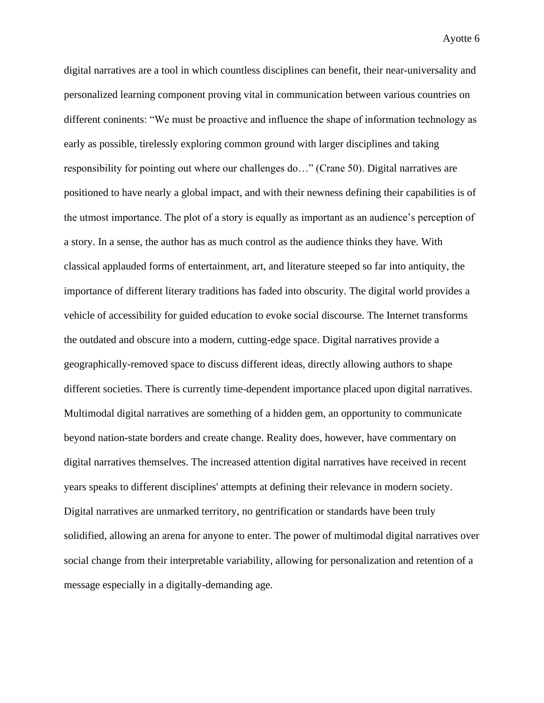digital narratives are a tool in which countless disciplines can benefit, their near-universality and personalized learning component proving vital in communication between various countries on different coninents: "We must be proactive and influence the shape of information technology as early as possible, tirelessly exploring common ground with larger disciplines and taking responsibility for pointing out where our challenges do…" (Crane 50). Digital narratives are positioned to have nearly a global impact, and with their newness defining their capabilities is of the utmost importance. The plot of a story is equally as important as an audience's perception of a story. In a sense, the author has as much control as the audience thinks they have. With classical applauded forms of entertainment, art, and literature steeped so far into antiquity, the importance of different literary traditions has faded into obscurity. The digital world provides a vehicle of accessibility for guided education to evoke social discourse. The Internet transforms the outdated and obscure into a modern, cutting-edge space. Digital narratives provide a geographically-removed space to discuss different ideas, directly allowing authors to shape different societies. There is currently time-dependent importance placed upon digital narratives. Multimodal digital narratives are something of a hidden gem, an opportunity to communicate beyond nation-state borders and create change. Reality does, however, have commentary on digital narratives themselves. The increased attention digital narratives have received in recent years speaks to different disciplines' attempts at defining their relevance in modern society. Digital narratives are unmarked territory, no gentrification or standards have been truly solidified, allowing an arena for anyone to enter. The power of multimodal digital narratives over social change from their interpretable variability, allowing for personalization and retention of a message especially in a digitally-demanding age.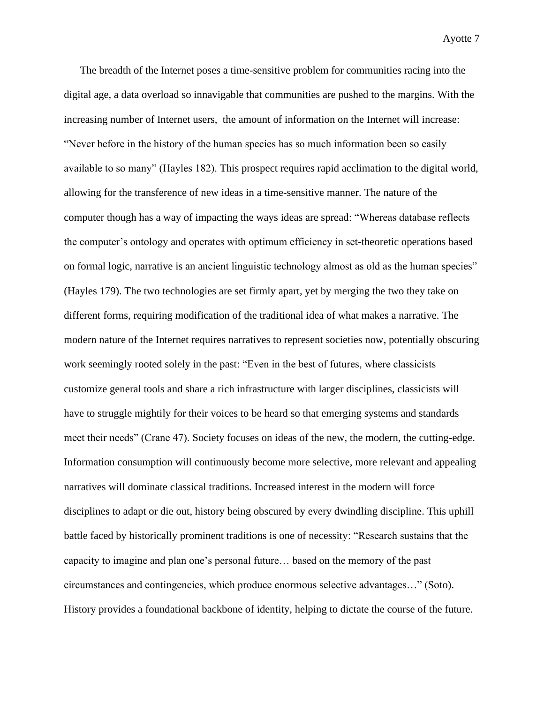The breadth of the Internet poses a time-sensitive problem for communities racing into the digital age, a data overload so innavigable that communities are pushed to the margins. With the increasing number of Internet users, the amount of information on the Internet will increase: "Never before in the history of the human species has so much information been so easily available to so many" (Hayles 182). This prospect requires rapid acclimation to the digital world, allowing for the transference of new ideas in a time-sensitive manner. The nature of the computer though has a way of impacting the ways ideas are spread: "Whereas database reflects the computer's ontology and operates with optimum efficiency in set-theoretic operations based on formal logic, narrative is an ancient linguistic technology almost as old as the human species" (Hayles 179). The two technologies are set firmly apart, yet by merging the two they take on different forms, requiring modification of the traditional idea of what makes a narrative. The modern nature of the Internet requires narratives to represent societies now, potentially obscuring work seemingly rooted solely in the past: "Even in the best of futures, where classicists customize general tools and share a rich infrastructure with larger disciplines, classicists will have to struggle mightily for their voices to be heard so that emerging systems and standards meet their needs" (Crane 47). Society focuses on ideas of the new, the modern, the cutting-edge. Information consumption will continuously become more selective, more relevant and appealing narratives will dominate classical traditions. Increased interest in the modern will force disciplines to adapt or die out, history being obscured by every dwindling discipline. This uphill battle faced by historically prominent traditions is one of necessity: "Research sustains that the capacity to imagine and plan one's personal future… based on the memory of the past circumstances and contingencies, which produce enormous selective advantages…" (Soto). History provides a foundational backbone of identity, helping to dictate the course of the future.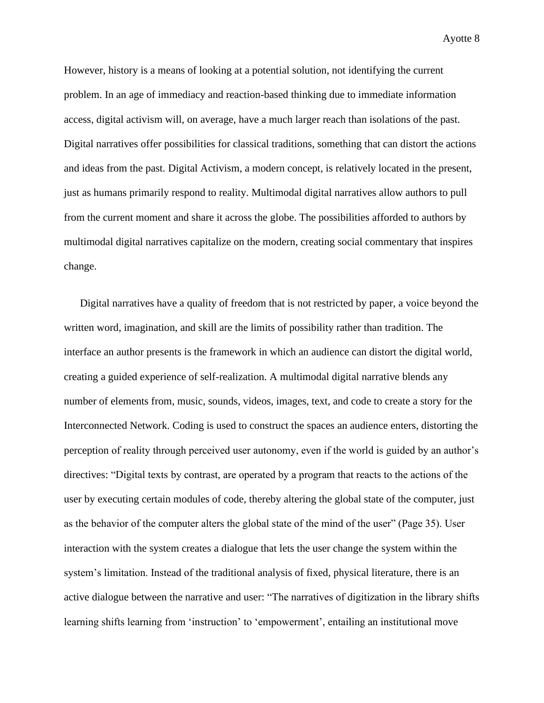However, history is a means of looking at a potential solution, not identifying the current problem. In an age of immediacy and reaction-based thinking due to immediate information access, digital activism will, on average, have a much larger reach than isolations of the past. Digital narratives offer possibilities for classical traditions, something that can distort the actions and ideas from the past. Digital Activism, a modern concept, is relatively located in the present, just as humans primarily respond to reality. Multimodal digital narratives allow authors to pull from the current moment and share it across the globe. The possibilities afforded to authors by multimodal digital narratives capitalize on the modern, creating social commentary that inspires change.

Digital narratives have a quality of freedom that is not restricted by paper, a voice beyond the written word, imagination, and skill are the limits of possibility rather than tradition. The interface an author presents is the framework in which an audience can distort the digital world, creating a guided experience of self-realization. A multimodal digital narrative blends any number of elements from, music, sounds, videos, images, text, and code to create a story for the Interconnected Network. Coding is used to construct the spaces an audience enters, distorting the perception of reality through perceived user autonomy, even if the world is guided by an author's directives: "Digital texts by contrast, are operated by a program that reacts to the actions of the user by executing certain modules of code, thereby altering the global state of the computer, just as the behavior of the computer alters the global state of the mind of the user" (Page 35). User interaction with the system creates a dialogue that lets the user change the system within the system's limitation. Instead of the traditional analysis of fixed, physical literature, there is an active dialogue between the narrative and user: "The narratives of digitization in the library shifts learning shifts learning from 'instruction' to 'empowerment', entailing an institutional move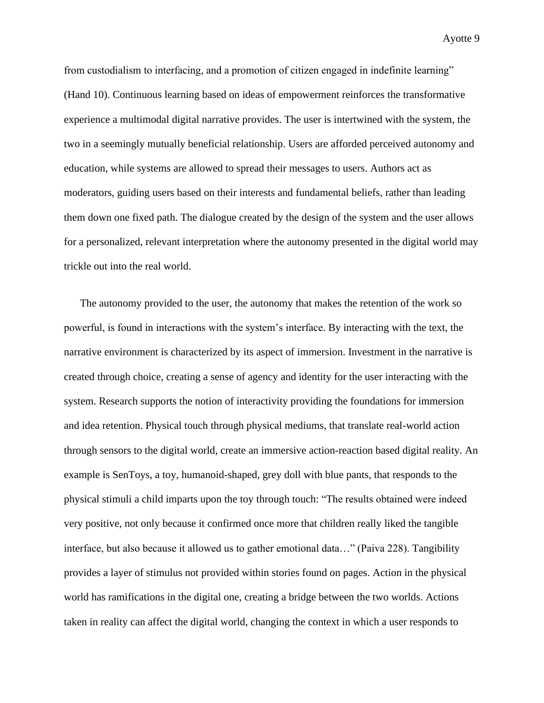from custodialism to interfacing, and a promotion of citizen engaged in indefinite learning" (Hand 10). Continuous learning based on ideas of empowerment reinforces the transformative experience a multimodal digital narrative provides. The user is intertwined with the system, the two in a seemingly mutually beneficial relationship. Users are afforded perceived autonomy and education, while systems are allowed to spread their messages to users. Authors act as moderators, guiding users based on their interests and fundamental beliefs, rather than leading them down one fixed path. The dialogue created by the design of the system and the user allows for a personalized, relevant interpretation where the autonomy presented in the digital world may trickle out into the real world.

The autonomy provided to the user, the autonomy that makes the retention of the work so powerful, is found in interactions with the system's interface. By interacting with the text, the narrative environment is characterized by its aspect of immersion. Investment in the narrative is created through choice, creating a sense of agency and identity for the user interacting with the system. Research supports the notion of interactivity providing the foundations for immersion and idea retention. Physical touch through physical mediums, that translate real-world action through sensors to the digital world, create an immersive action-reaction based digital reality. An example is SenToys, a toy, humanoid-shaped, grey doll with blue pants, that responds to the physical stimuli a child imparts upon the toy through touch: "The results obtained were indeed very positive, not only because it confirmed once more that children really liked the tangible interface, but also because it allowed us to gather emotional data…" (Paiva 228). Tangibility provides a layer of stimulus not provided within stories found on pages. Action in the physical world has ramifications in the digital one, creating a bridge between the two worlds. Actions taken in reality can affect the digital world, changing the context in which a user responds to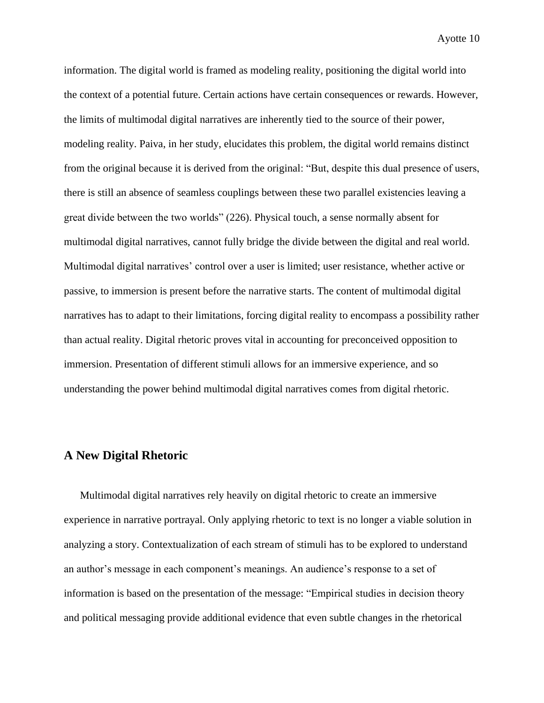information. The digital world is framed as modeling reality, positioning the digital world into the context of a potential future. Certain actions have certain consequences or rewards. However, the limits of multimodal digital narratives are inherently tied to the source of their power, modeling reality. Paiva, in her study, elucidates this problem, the digital world remains distinct from the original because it is derived from the original: "But, despite this dual presence of users, there is still an absence of seamless couplings between these two parallel existencies leaving a great divide between the two worlds" (226). Physical touch, a sense normally absent for multimodal digital narratives, cannot fully bridge the divide between the digital and real world. Multimodal digital narratives' control over a user is limited; user resistance, whether active or passive, to immersion is present before the narrative starts. The content of multimodal digital narratives has to adapt to their limitations, forcing digital reality to encompass a possibility rather than actual reality. Digital rhetoric proves vital in accounting for preconceived opposition to immersion. Presentation of different stimuli allows for an immersive experience, and so understanding the power behind multimodal digital narratives comes from digital rhetoric.

# **A New Digital Rhetoric**

Multimodal digital narratives rely heavily on digital rhetoric to create an immersive experience in narrative portrayal. Only applying rhetoric to text is no longer a viable solution in analyzing a story. Contextualization of each stream of stimuli has to be explored to understand an author's message in each component's meanings. An audience's response to a set of information is based on the presentation of the message: "Empirical studies in decision theory and political messaging provide additional evidence that even subtle changes in the rhetorical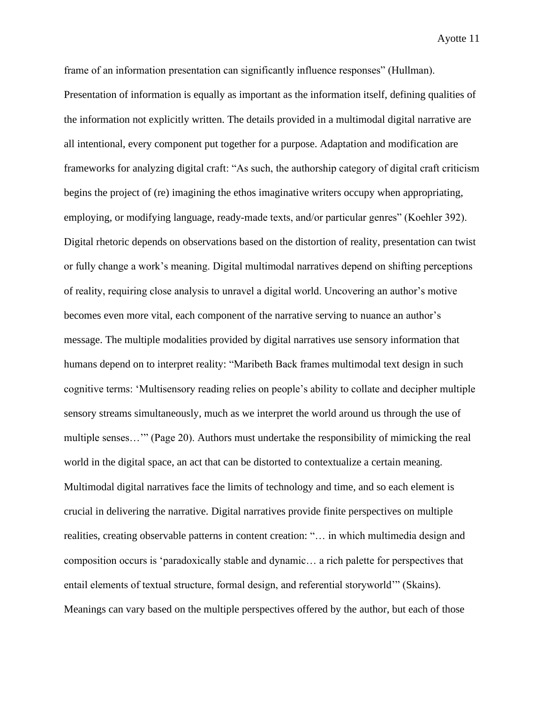frame of an information presentation can significantly influence responses" (Hullman). Presentation of information is equally as important as the information itself, defining qualities of the information not explicitly written. The details provided in a multimodal digital narrative are all intentional, every component put together for a purpose. Adaptation and modification are frameworks for analyzing digital craft: "As such, the authorship category of digital craft criticism begins the project of (re) imagining the ethos imaginative writers occupy when appropriating, employing, or modifying language, ready-made texts, and/or particular genres" (Koehler 392). Digital rhetoric depends on observations based on the distortion of reality, presentation can twist or fully change a work's meaning. Digital multimodal narratives depend on shifting perceptions of reality, requiring close analysis to unravel a digital world. Uncovering an author's motive becomes even more vital, each component of the narrative serving to nuance an author's message. The multiple modalities provided by digital narratives use sensory information that humans depend on to interpret reality: "Maribeth Back frames multimodal text design in such cognitive terms: 'Multisensory reading relies on people's ability to collate and decipher multiple sensory streams simultaneously, much as we interpret the world around us through the use of multiple senses…'" (Page 20). Authors must undertake the responsibility of mimicking the real world in the digital space, an act that can be distorted to contextualize a certain meaning. Multimodal digital narratives face the limits of technology and time, and so each element is crucial in delivering the narrative. Digital narratives provide finite perspectives on multiple realities, creating observable patterns in content creation: "… in which multimedia design and composition occurs is 'paradoxically stable and dynamic… a rich palette for perspectives that entail elements of textual structure, formal design, and referential storyworld'" (Skains). Meanings can vary based on the multiple perspectives offered by the author, but each of those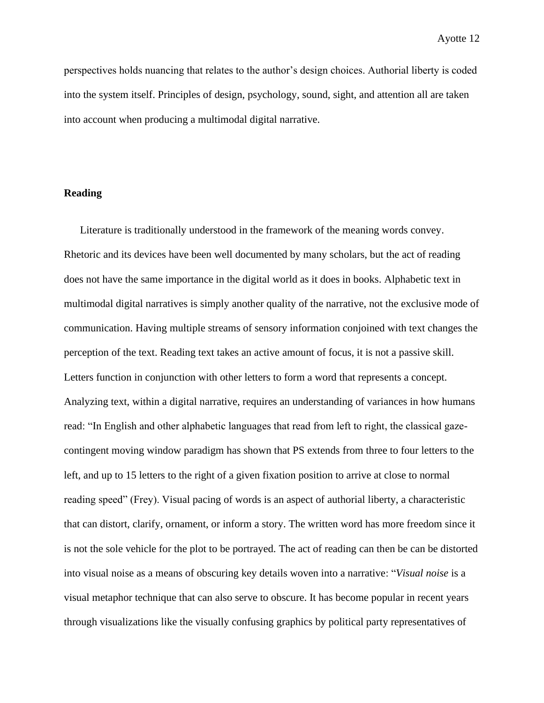perspectives holds nuancing that relates to the author's design choices. Authorial liberty is coded into the system itself. Principles of design, psychology, sound, sight, and attention all are taken into account when producing a multimodal digital narrative.

### **Reading**

Literature is traditionally understood in the framework of the meaning words convey. Rhetoric and its devices have been well documented by many scholars, but the act of reading does not have the same importance in the digital world as it does in books. Alphabetic text in multimodal digital narratives is simply another quality of the narrative, not the exclusive mode of communication. Having multiple streams of sensory information conjoined with text changes the perception of the text. Reading text takes an active amount of focus, it is not a passive skill. Letters function in conjunction with other letters to form a word that represents a concept. Analyzing text, within a digital narrative, requires an understanding of variances in how humans read: "In English and other alphabetic languages that read from left to right, the classical gazecontingent moving window paradigm has shown that PS extends from three to four letters to the left, and up to 15 letters to the right of a given fixation position to arrive at close to normal reading speed" (Frey). Visual pacing of words is an aspect of authorial liberty, a characteristic that can distort, clarify, ornament, or inform a story. The written word has more freedom since it is not the sole vehicle for the plot to be portrayed. The act of reading can then be can be distorted into visual noise as a means of obscuring key details woven into a narrative: "*Visual noise* is a visual metaphor technique that can also serve to obscure. It has become popular in recent years through visualizations like the visually confusing graphics by political party representatives of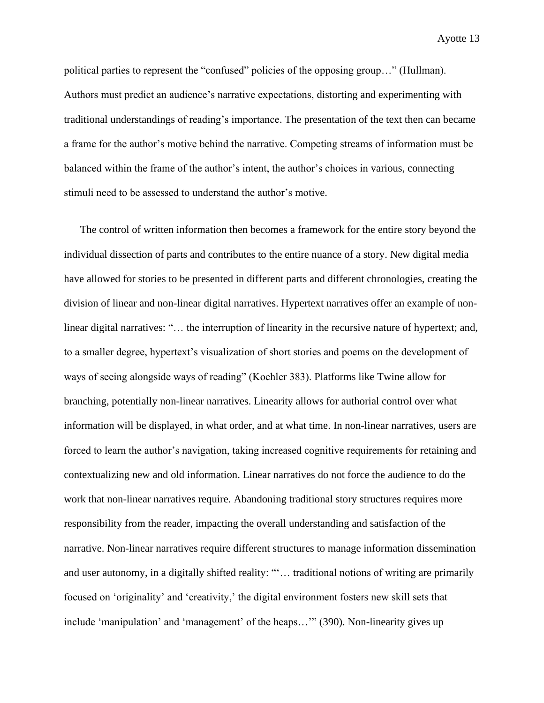political parties to represent the "confused" policies of the opposing group…" (Hullman). Authors must predict an audience's narrative expectations, distorting and experimenting with traditional understandings of reading's importance. The presentation of the text then can became a frame for the author's motive behind the narrative. Competing streams of information must be balanced within the frame of the author's intent, the author's choices in various, connecting stimuli need to be assessed to understand the author's motive.

The control of written information then becomes a framework for the entire story beyond the individual dissection of parts and contributes to the entire nuance of a story. New digital media have allowed for stories to be presented in different parts and different chronologies, creating the division of linear and non-linear digital narratives. Hypertext narratives offer an example of nonlinear digital narratives: "… the interruption of linearity in the recursive nature of hypertext; and, to a smaller degree, hypertext's visualization of short stories and poems on the development of ways of seeing alongside ways of reading" (Koehler 383). Platforms like Twine allow for branching, potentially non-linear narratives. Linearity allows for authorial control over what information will be displayed, in what order, and at what time. In non-linear narratives, users are forced to learn the author's navigation, taking increased cognitive requirements for retaining and contextualizing new and old information. Linear narratives do not force the audience to do the work that non-linear narratives require. Abandoning traditional story structures requires more responsibility from the reader, impacting the overall understanding and satisfaction of the narrative. Non-linear narratives require different structures to manage information dissemination and user autonomy, in a digitally shifted reality: "'… traditional notions of writing are primarily focused on 'originality' and 'creativity,' the digital environment fosters new skill sets that include 'manipulation' and 'management' of the heaps…'" (390). Non-linearity gives up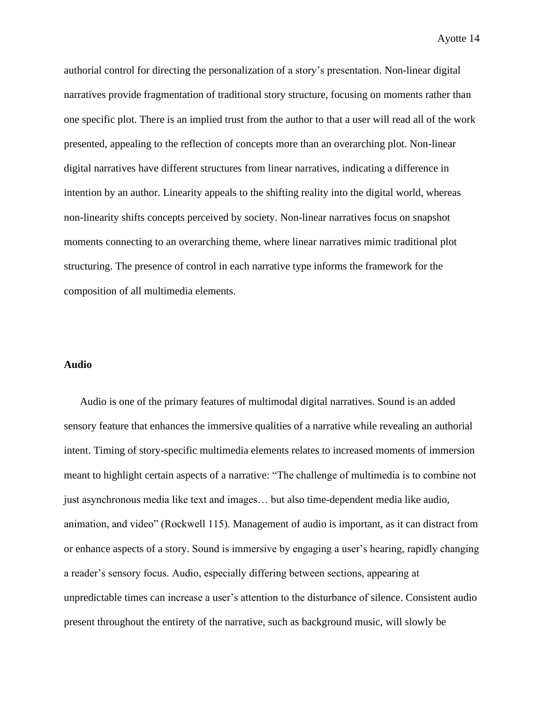authorial control for directing the personalization of a story's presentation. Non-linear digital narratives provide fragmentation of traditional story structure, focusing on moments rather than one specific plot. There is an implied trust from the author to that a user will read all of the work presented, appealing to the reflection of concepts more than an overarching plot. Non-linear digital narratives have different structures from linear narratives, indicating a difference in intention by an author. Linearity appeals to the shifting reality into the digital world, whereas non-linearity shifts concepts perceived by society. Non-linear narratives focus on snapshot moments connecting to an overarching theme, where linear narratives mimic traditional plot structuring. The presence of control in each narrative type informs the framework for the composition of all multimedia elements.

### **Audio**

Audio is one of the primary features of multimodal digital narratives. Sound is an added sensory feature that enhances the immersive qualities of a narrative while revealing an authorial intent. Timing of story-specific multimedia elements relates to increased moments of immersion meant to highlight certain aspects of a narrative: "The challenge of multimedia is to combine not just asynchronous media like text and images… but also time-dependent media like audio, animation, and video" (Rockwell 115). Management of audio is important, as it can distract from or enhance aspects of a story. Sound is immersive by engaging a user's hearing, rapidly changing a reader's sensory focus. Audio, especially differing between sections, appearing at unpredictable times can increase a user's attention to the disturbance of silence. Consistent audio present throughout the entirety of the narrative, such as background music, will slowly be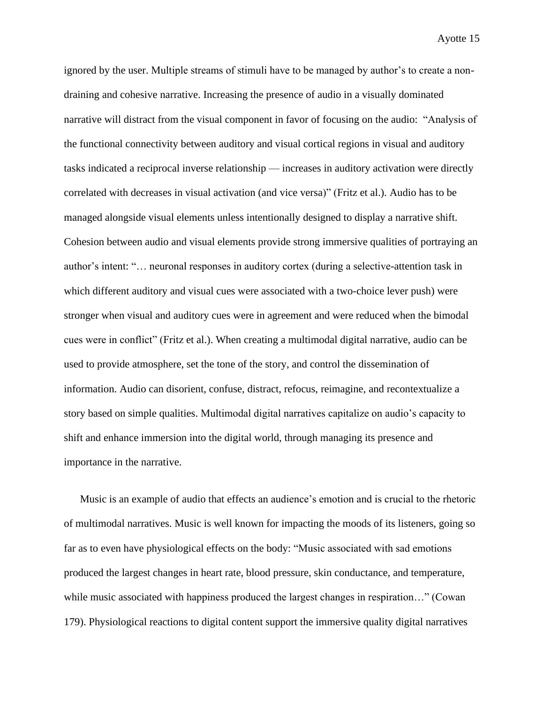ignored by the user. Multiple streams of stimuli have to be managed by author's to create a nondraining and cohesive narrative. Increasing the presence of audio in a visually dominated narrative will distract from the visual component in favor of focusing on the audio: "Analysis of the functional connectivity between auditory and visual cortical regions in visual and auditory tasks indicated a reciprocal inverse relationship — increases in auditory activation were directly correlated with decreases in visual activation (and vice versa)" (Fritz et al.). Audio has to be managed alongside visual elements unless intentionally designed to display a narrative shift. Cohesion between audio and visual elements provide strong immersive qualities of portraying an author's intent: "… neuronal responses in auditory cortex (during a selective-attention task in which different auditory and visual cues were associated with a two-choice lever push) were stronger when visual and auditory cues were in agreement and were reduced when the bimodal cues were in conflict" (Fritz et al.). When creating a multimodal digital narrative, audio can be used to provide atmosphere, set the tone of the story, and control the dissemination of information. Audio can disorient, confuse, distract, refocus, reimagine, and recontextualize a story based on simple qualities. Multimodal digital narratives capitalize on audio's capacity to shift and enhance immersion into the digital world, through managing its presence and importance in the narrative.

Music is an example of audio that effects an audience's emotion and is crucial to the rhetoric of multimodal narratives. Music is well known for impacting the moods of its listeners, going so far as to even have physiological effects on the body: "Music associated with sad emotions produced the largest changes in heart rate, blood pressure, skin conductance, and temperature, while music associated with happiness produced the largest changes in respiration..." (Cowan 179). Physiological reactions to digital content support the immersive quality digital narratives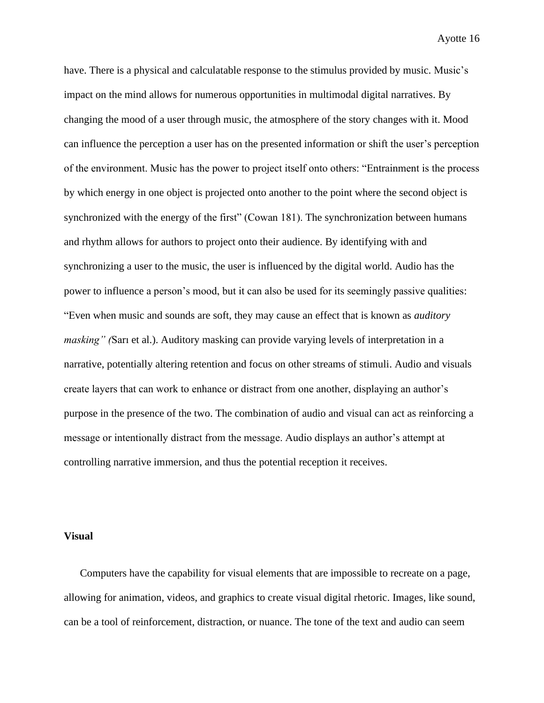have. There is a physical and calculatable response to the stimulus provided by music. Music's impact on the mind allows for numerous opportunities in multimodal digital narratives. By changing the mood of a user through music, the atmosphere of the story changes with it. Mood can influence the perception a user has on the presented information or shift the user's perception of the environment. Music has the power to project itself onto others: "Entrainment is the process by which energy in one object is projected onto another to the point where the second object is synchronized with the energy of the first" (Cowan 181). The synchronization between humans and rhythm allows for authors to project onto their audience. By identifying with and synchronizing a user to the music, the user is influenced by the digital world. Audio has the power to influence a person's mood, but it can also be used for its seemingly passive qualities: "Even when music and sounds are soft, they may cause an effect that is known as *auditory masking" (*Sarı et al.). Auditory masking can provide varying levels of interpretation in a narrative, potentially altering retention and focus on other streams of stimuli. Audio and visuals create layers that can work to enhance or distract from one another, displaying an author's purpose in the presence of the two. The combination of audio and visual can act as reinforcing a message or intentionally distract from the message. Audio displays an author's attempt at controlling narrative immersion, and thus the potential reception it receives.

#### **Visual**

Computers have the capability for visual elements that are impossible to recreate on a page, allowing for animation, videos, and graphics to create visual digital rhetoric. Images, like sound, can be a tool of reinforcement, distraction, or nuance. The tone of the text and audio can seem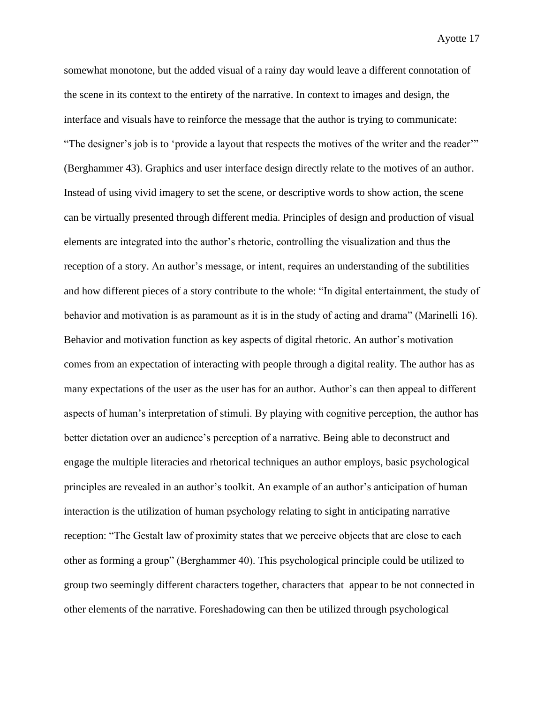somewhat monotone, but the added visual of a rainy day would leave a different connotation of the scene in its context to the entirety of the narrative. In context to images and design, the interface and visuals have to reinforce the message that the author is trying to communicate: "The designer's job is to 'provide a layout that respects the motives of the writer and the reader'" (Berghammer 43). Graphics and user interface design directly relate to the motives of an author. Instead of using vivid imagery to set the scene, or descriptive words to show action, the scene can be virtually presented through different media. Principles of design and production of visual elements are integrated into the author's rhetoric, controlling the visualization and thus the reception of a story. An author's message, or intent, requires an understanding of the subtilities and how different pieces of a story contribute to the whole: "In digital entertainment, the study of behavior and motivation is as paramount as it is in the study of acting and drama" (Marinelli 16). Behavior and motivation function as key aspects of digital rhetoric. An author's motivation comes from an expectation of interacting with people through a digital reality. The author has as many expectations of the user as the user has for an author. Author's can then appeal to different aspects of human's interpretation of stimuli. By playing with cognitive perception, the author has better dictation over an audience's perception of a narrative. Being able to deconstruct and engage the multiple literacies and rhetorical techniques an author employs, basic psychological principles are revealed in an author's toolkit. An example of an author's anticipation of human interaction is the utilization of human psychology relating to sight in anticipating narrative reception: "The Gestalt law of proximity states that we perceive objects that are close to each other as forming a group" (Berghammer 40). This psychological principle could be utilized to group two seemingly different characters together, characters that appear to be not connected in other elements of the narrative. Foreshadowing can then be utilized through psychological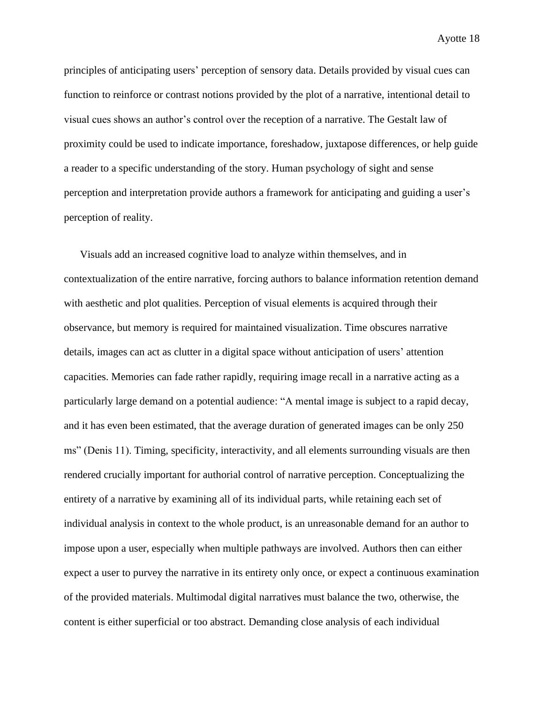principles of anticipating users' perception of sensory data. Details provided by visual cues can function to reinforce or contrast notions provided by the plot of a narrative, intentional detail to visual cues shows an author's control over the reception of a narrative. The Gestalt law of proximity could be used to indicate importance, foreshadow, juxtapose differences, or help guide a reader to a specific understanding of the story. Human psychology of sight and sense perception and interpretation provide authors a framework for anticipating and guiding a user's perception of reality.

Visuals add an increased cognitive load to analyze within themselves, and in contextualization of the entire narrative, forcing authors to balance information retention demand with aesthetic and plot qualities. Perception of visual elements is acquired through their observance, but memory is required for maintained visualization. Time obscures narrative details, images can act as clutter in a digital space without anticipation of users' attention capacities. Memories can fade rather rapidly, requiring image recall in a narrative acting as a particularly large demand on a potential audience: "A mental image is subject to a rapid decay, and it has even been estimated, that the average duration of generated images can be only 250 ms" (Denis 11). Timing, specificity, interactivity, and all elements surrounding visuals are then rendered crucially important for authorial control of narrative perception. Conceptualizing the entirety of a narrative by examining all of its individual parts, while retaining each set of individual analysis in context to the whole product, is an unreasonable demand for an author to impose upon a user, especially when multiple pathways are involved. Authors then can either expect a user to purvey the narrative in its entirety only once, or expect a continuous examination of the provided materials. Multimodal digital narratives must balance the two, otherwise, the content is either superficial or too abstract. Demanding close analysis of each individual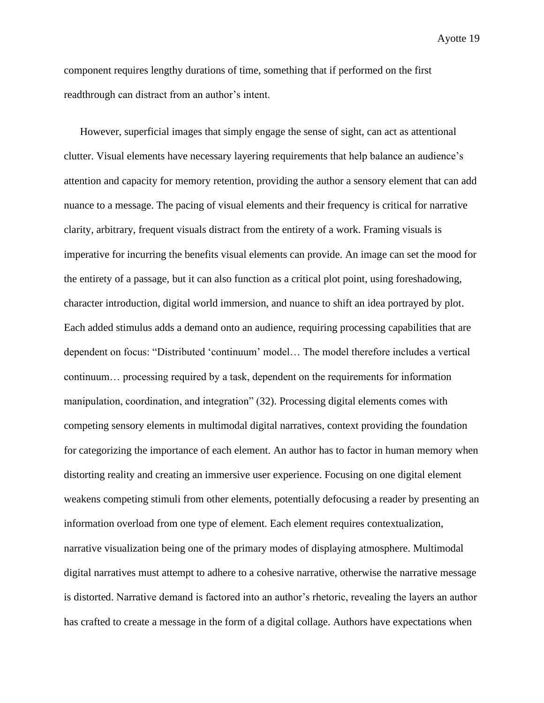component requires lengthy durations of time, something that if performed on the first readthrough can distract from an author's intent.

However, superficial images that simply engage the sense of sight, can act as attentional clutter. Visual elements have necessary layering requirements that help balance an audience's attention and capacity for memory retention, providing the author a sensory element that can add nuance to a message. The pacing of visual elements and their frequency is critical for narrative clarity, arbitrary, frequent visuals distract from the entirety of a work. Framing visuals is imperative for incurring the benefits visual elements can provide. An image can set the mood for the entirety of a passage, but it can also function as a critical plot point, using foreshadowing, character introduction, digital world immersion, and nuance to shift an idea portrayed by plot. Each added stimulus adds a demand onto an audience, requiring processing capabilities that are dependent on focus: "Distributed 'continuum' model… The model therefore includes a vertical continuum… processing required by a task, dependent on the requirements for information manipulation, coordination, and integration" (32). Processing digital elements comes with competing sensory elements in multimodal digital narratives, context providing the foundation for categorizing the importance of each element. An author has to factor in human memory when distorting reality and creating an immersive user experience. Focusing on one digital element weakens competing stimuli from other elements, potentially defocusing a reader by presenting an information overload from one type of element. Each element requires contextualization, narrative visualization being one of the primary modes of displaying atmosphere. Multimodal digital narratives must attempt to adhere to a cohesive narrative, otherwise the narrative message is distorted. Narrative demand is factored into an author's rhetoric, revealing the layers an author has crafted to create a message in the form of a digital collage. Authors have expectations when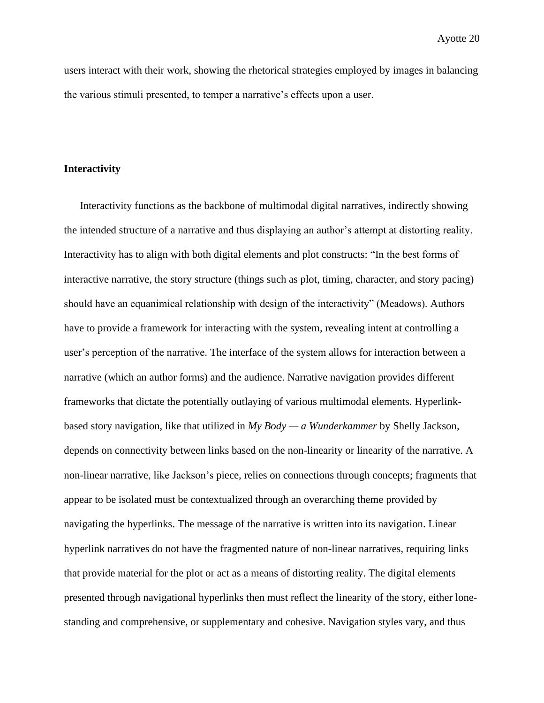users interact with their work, showing the rhetorical strategies employed by images in balancing the various stimuli presented, to temper a narrative's effects upon a user.

### **Interactivity**

Interactivity functions as the backbone of multimodal digital narratives, indirectly showing the intended structure of a narrative and thus displaying an author's attempt at distorting reality. Interactivity has to align with both digital elements and plot constructs: "In the best forms of interactive narrative, the story structure (things such as plot, timing, character, and story pacing) should have an equanimical relationship with design of the interactivity" (Meadows). Authors have to provide a framework for interacting with the system, revealing intent at controlling a user's perception of the narrative. The interface of the system allows for interaction between a narrative (which an author forms) and the audience. Narrative navigation provides different frameworks that dictate the potentially outlaying of various multimodal elements. Hyperlinkbased story navigation, like that utilized in *My Body — a Wunderkammer* by Shelly Jackson, depends on connectivity between links based on the non-linearity or linearity of the narrative. A non-linear narrative, like Jackson's piece, relies on connections through concepts; fragments that appear to be isolated must be contextualized through an overarching theme provided by navigating the hyperlinks. The message of the narrative is written into its navigation. Linear hyperlink narratives do not have the fragmented nature of non-linear narratives, requiring links that provide material for the plot or act as a means of distorting reality. The digital elements presented through navigational hyperlinks then must reflect the linearity of the story, either lonestanding and comprehensive, or supplementary and cohesive. Navigation styles vary, and thus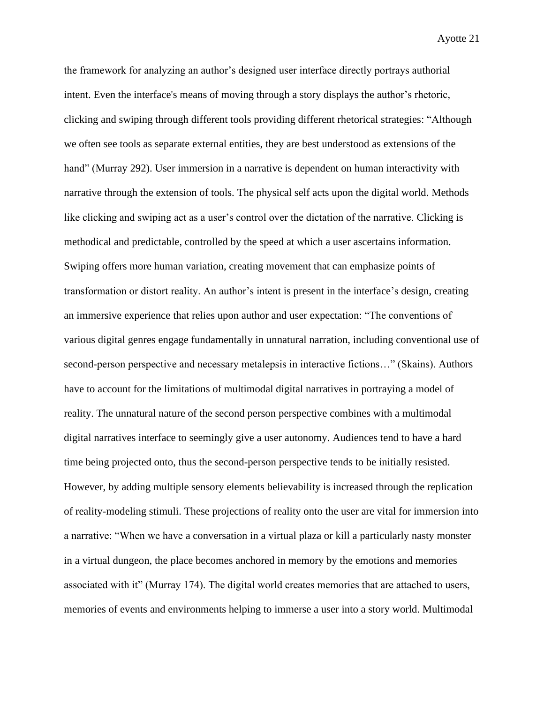the framework for analyzing an author's designed user interface directly portrays authorial intent. Even the interface's means of moving through a story displays the author's rhetoric, clicking and swiping through different tools providing different rhetorical strategies: "Although we often see tools as separate external entities, they are best understood as extensions of the hand" (Murray 292). User immersion in a narrative is dependent on human interactivity with narrative through the extension of tools. The physical self acts upon the digital world. Methods like clicking and swiping act as a user's control over the dictation of the narrative. Clicking is methodical and predictable, controlled by the speed at which a user ascertains information. Swiping offers more human variation, creating movement that can emphasize points of transformation or distort reality. An author's intent is present in the interface's design, creating an immersive experience that relies upon author and user expectation: "The conventions of various digital genres engage fundamentally in unnatural narration, including conventional use of second-person perspective and necessary metalepsis in interactive fictions…" (Skains). Authors have to account for the limitations of multimodal digital narratives in portraying a model of reality. The unnatural nature of the second person perspective combines with a multimodal digital narratives interface to seemingly give a user autonomy. Audiences tend to have a hard time being projected onto, thus the second-person perspective tends to be initially resisted. However, by adding multiple sensory elements believability is increased through the replication of reality-modeling stimuli. These projections of reality onto the user are vital for immersion into a narrative: "When we have a conversation in a virtual plaza or kill a particularly nasty monster in a virtual dungeon, the place becomes anchored in memory by the emotions and memories associated with it" (Murray 174). The digital world creates memories that are attached to users, memories of events and environments helping to immerse a user into a story world. Multimodal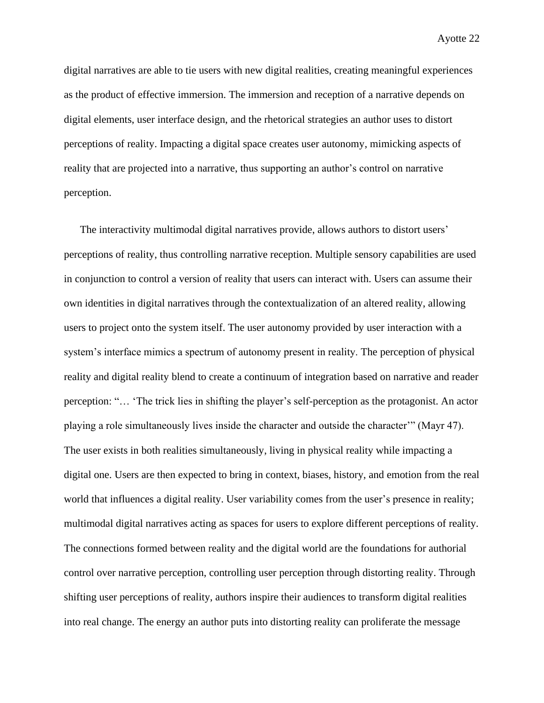digital narratives are able to tie users with new digital realities, creating meaningful experiences as the product of effective immersion. The immersion and reception of a narrative depends on digital elements, user interface design, and the rhetorical strategies an author uses to distort perceptions of reality. Impacting a digital space creates user autonomy, mimicking aspects of reality that are projected into a narrative, thus supporting an author's control on narrative perception.

The interactivity multimodal digital narratives provide, allows authors to distort users' perceptions of reality, thus controlling narrative reception. Multiple sensory capabilities are used in conjunction to control a version of reality that users can interact with. Users can assume their own identities in digital narratives through the contextualization of an altered reality, allowing users to project onto the system itself. The user autonomy provided by user interaction with a system's interface mimics a spectrum of autonomy present in reality. The perception of physical reality and digital reality blend to create a continuum of integration based on narrative and reader perception: "… 'The trick lies in shifting the player's self-perception as the protagonist. An actor playing a role simultaneously lives inside the character and outside the character'" (Mayr 47). The user exists in both realities simultaneously, living in physical reality while impacting a digital one. Users are then expected to bring in context, biases, history, and emotion from the real world that influences a digital reality. User variability comes from the user's presence in reality; multimodal digital narratives acting as spaces for users to explore different perceptions of reality. The connections formed between reality and the digital world are the foundations for authorial control over narrative perception, controlling user perception through distorting reality. Through shifting user perceptions of reality, authors inspire their audiences to transform digital realities into real change. The energy an author puts into distorting reality can proliferate the message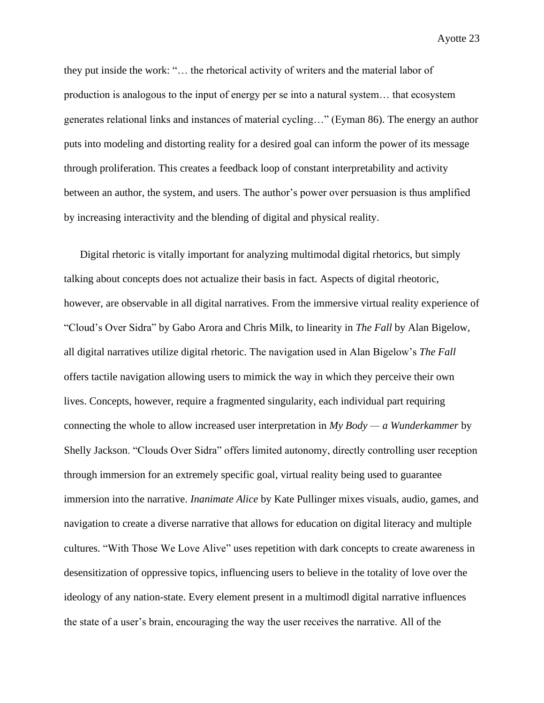they put inside the work: "… the rhetorical activity of writers and the material labor of production is analogous to the input of energy per se into a natural system… that ecosystem generates relational links and instances of material cycling…" (Eyman 86). The energy an author puts into modeling and distorting reality for a desired goal can inform the power of its message through proliferation. This creates a feedback loop of constant interpretability and activity between an author, the system, and users. The author's power over persuasion is thus amplified by increasing interactivity and the blending of digital and physical reality.

Digital rhetoric is vitally important for analyzing multimodal digital rhetorics, but simply talking about concepts does not actualize their basis in fact. Aspects of digital rheotoric, however, are observable in all digital narratives. From the immersive virtual reality experience of "Cloud's Over Sidra" by Gabo Arora and Chris Milk, to linearity in *The Fall* by Alan Bigelow, all digital narratives utilize digital rhetoric. The navigation used in Alan Bigelow's *The Fall* offers tactile navigation allowing users to mimick the way in which they perceive their own lives. Concepts, however, require a fragmented singularity, each individual part requiring connecting the whole to allow increased user interpretation in *My Body — a Wunderkammer* by Shelly Jackson. "Clouds Over Sidra" offers limited autonomy, directly controlling user reception through immersion for an extremely specific goal, virtual reality being used to guarantee immersion into the narrative. *Inanimate Alice* by Kate Pullinger mixes visuals, audio, games, and navigation to create a diverse narrative that allows for education on digital literacy and multiple cultures. "With Those We Love Alive" uses repetition with dark concepts to create awareness in desensitization of oppressive topics, influencing users to believe in the totality of love over the ideology of any nation-state. Every element present in a multimodl digital narrative influences the state of a user's brain, encouraging the way the user receives the narrative. All of the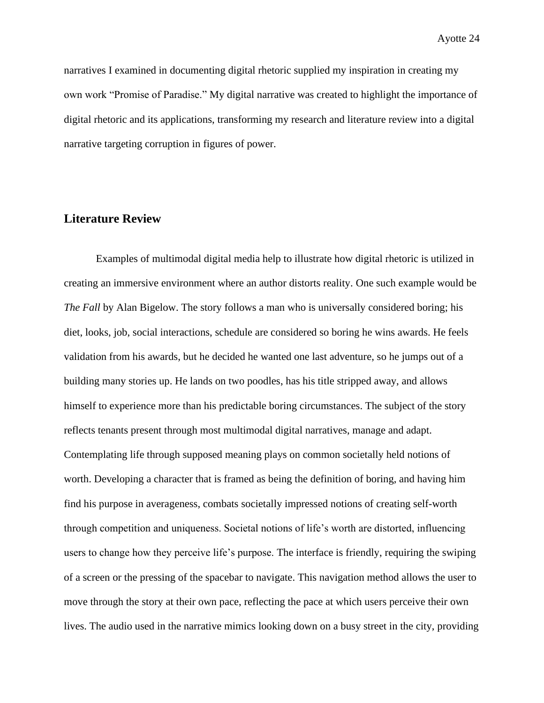narratives I examined in documenting digital rhetoric supplied my inspiration in creating my own work "Promise of Paradise." My digital narrative was created to highlight the importance of digital rhetoric and its applications, transforming my research and literature review into a digital narrative targeting corruption in figures of power.

# **Literature Review**

Examples of multimodal digital media help to illustrate how digital rhetoric is utilized in creating an immersive environment where an author distorts reality. One such example would be *The Fall* by Alan Bigelow. The story follows a man who is universally considered boring; his diet, looks, job, social interactions, schedule are considered so boring he wins awards. He feels validation from his awards, but he decided he wanted one last adventure, so he jumps out of a building many stories up. He lands on two poodles, has his title stripped away, and allows himself to experience more than his predictable boring circumstances. The subject of the story reflects tenants present through most multimodal digital narratives, manage and adapt. Contemplating life through supposed meaning plays on common societally held notions of worth. Developing a character that is framed as being the definition of boring, and having him find his purpose in averageness, combats societally impressed notions of creating self-worth through competition and uniqueness. Societal notions of life's worth are distorted, influencing users to change how they perceive life's purpose. The interface is friendly, requiring the swiping of a screen or the pressing of the spacebar to navigate. This navigation method allows the user to move through the story at their own pace, reflecting the pace at which users perceive their own lives. The audio used in the narrative mimics looking down on a busy street in the city, providing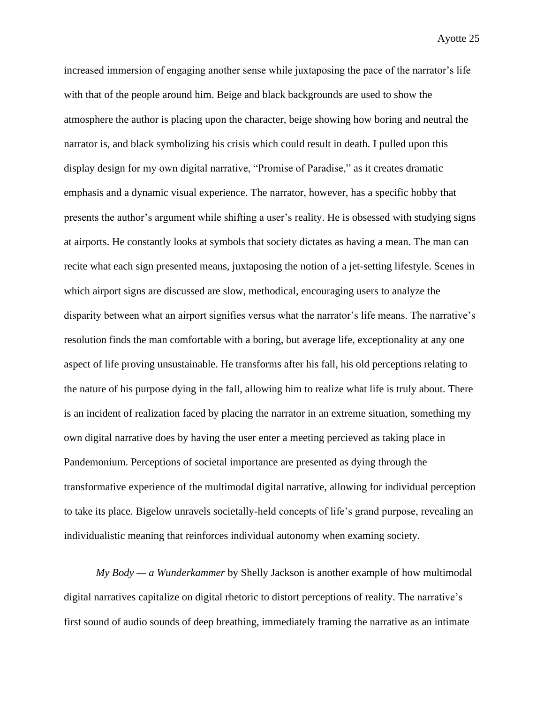increased immersion of engaging another sense while juxtaposing the pace of the narrator's life with that of the people around him. Beige and black backgrounds are used to show the atmosphere the author is placing upon the character, beige showing how boring and neutral the narrator is, and black symbolizing his crisis which could result in death. I pulled upon this display design for my own digital narrative, "Promise of Paradise," as it creates dramatic emphasis and a dynamic visual experience. The narrator, however, has a specific hobby that presents the author's argument while shifting a user's reality. He is obsessed with studying signs at airports. He constantly looks at symbols that society dictates as having a mean. The man can recite what each sign presented means, juxtaposing the notion of a jet-setting lifestyle. Scenes in which airport signs are discussed are slow, methodical, encouraging users to analyze the disparity between what an airport signifies versus what the narrator's life means. The narrative's resolution finds the man comfortable with a boring, but average life, exceptionality at any one aspect of life proving unsustainable. He transforms after his fall, his old perceptions relating to the nature of his purpose dying in the fall, allowing him to realize what life is truly about. There is an incident of realization faced by placing the narrator in an extreme situation, something my own digital narrative does by having the user enter a meeting percieved as taking place in Pandemonium. Perceptions of societal importance are presented as dying through the transformative experience of the multimodal digital narrative, allowing for individual perception to take its place. Bigelow unravels societally-held concepts of life's grand purpose, revealing an individualistic meaning that reinforces individual autonomy when examing society.

*My Body — a Wunderkammer* by Shelly Jackson is another example of how multimodal digital narratives capitalize on digital rhetoric to distort perceptions of reality. The narrative's first sound of audio sounds of deep breathing, immediately framing the narrative as an intimate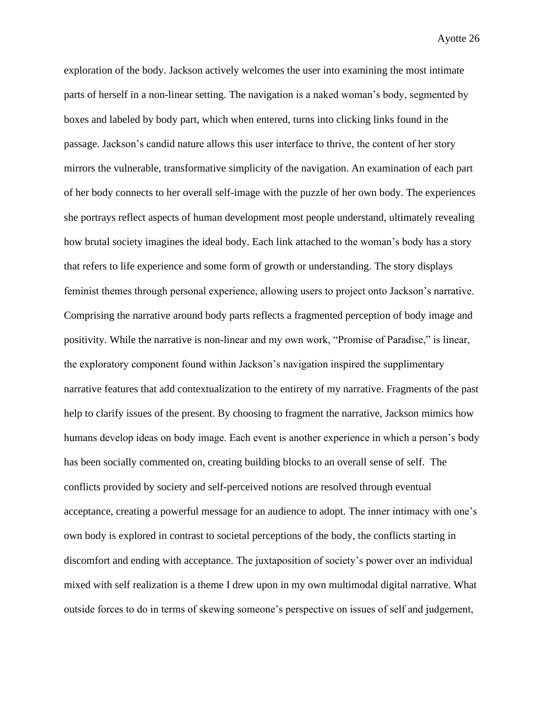exploration of the body. Jackson actively welcomes the user into examining the most intimate parts of herself in a non-linear setting. The navigation is a naked woman's body, segmented by boxes and labeled by body part, which when entered, turns into clicking links found in the passage. Jackson's candid nature allows this user interface to thrive, the content of her story mirrors the vulnerable, transformative simplicity of the navigation. An examination of each part of her body connects to her overall self-image with the puzzle of her own body. The experiences she portrays reflect aspects of human development most people understand, ultimately revealing how brutal society imagines the ideal body. Each link attached to the woman's body has a story that refers to life experience and some form of growth or understanding. The story displays feminist themes through personal experience, allowing users to project onto Jackson's narrative. Comprising the narrative around body parts reflects a fragmented perception of body image and positivity. While the narrative is non-linear and my own work, "Promise of Paradise," is linear, the exploratory component found within Jackson's navigation inspired the supplimentary narrative features that add contextualization to the entirety of my narrative. Fragments of the past help to clarify issues of the present. By choosing to fragment the narrative, Jackson mimics how humans develop ideas on body image. Each event is another experience in which a person's body has been socially commented on, creating building blocks to an overall sense of self. The conflicts provided by society and self-perceived notions are resolved through eventual acceptance, creating a powerful message for an audience to adopt. The inner intimacy with one's own body is explored in contrast to societal perceptions of the body, the conflicts starting in discomfort and ending with acceptance. The juxtaposition of society's power over an individual mixed with self realization is a theme I drew upon in my own multimodal digital narrative. What outside forces to do in terms of skewing someone's perspective on issues of self and judgement,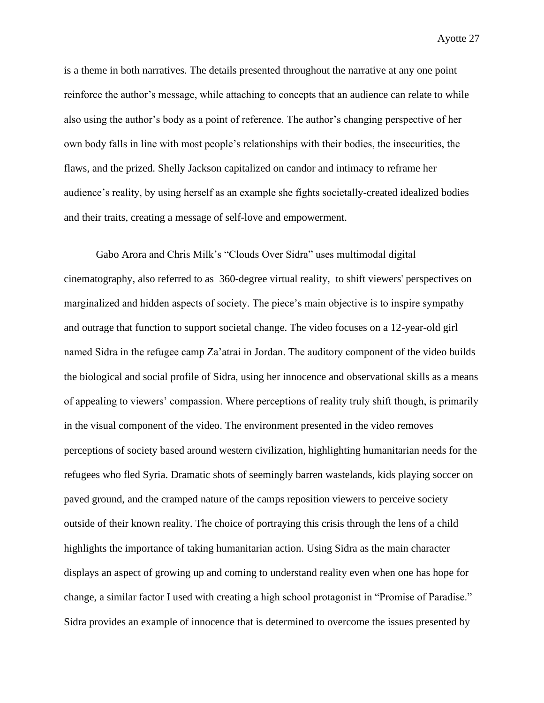is a theme in both narratives. The details presented throughout the narrative at any one point reinforce the author's message, while attaching to concepts that an audience can relate to while also using the author's body as a point of reference. The author's changing perspective of her own body falls in line with most people's relationships with their bodies, the insecurities, the flaws, and the prized. Shelly Jackson capitalized on candor and intimacy to reframe her audience's reality, by using herself as an example she fights societally-created idealized bodies and their traits, creating a message of self-love and empowerment.

Gabo Arora and Chris Milk's "Clouds Over Sidra" uses multimodal digital cinematography, also referred to as 360-degree virtual reality, to shift viewers' perspectives on marginalized and hidden aspects of society. The piece's main objective is to inspire sympathy and outrage that function to support societal change. The video focuses on a 12-year-old girl named Sidra in the refugee camp Za'atrai in Jordan. The auditory component of the video builds the biological and social profile of Sidra, using her innocence and observational skills as a means of appealing to viewers' compassion. Where perceptions of reality truly shift though, is primarily in the visual component of the video. The environment presented in the video removes perceptions of society based around western civilization, highlighting humanitarian needs for the refugees who fled Syria. Dramatic shots of seemingly barren wastelands, kids playing soccer on paved ground, and the cramped nature of the camps reposition viewers to perceive society outside of their known reality. The choice of portraying this crisis through the lens of a child highlights the importance of taking humanitarian action. Using Sidra as the main character displays an aspect of growing up and coming to understand reality even when one has hope for change, a similar factor I used with creating a high school protagonist in "Promise of Paradise." Sidra provides an example of innocence that is determined to overcome the issues presented by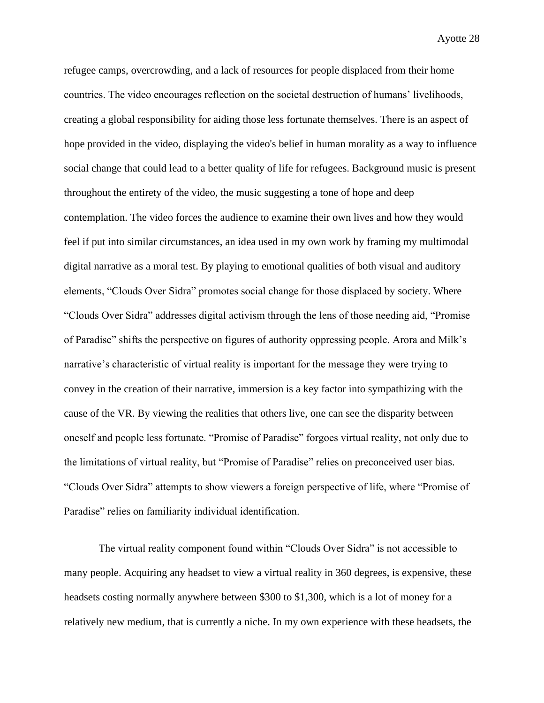refugee camps, overcrowding, and a lack of resources for people displaced from their home countries. The video encourages reflection on the societal destruction of humans' livelihoods, creating a global responsibility for aiding those less fortunate themselves. There is an aspect of hope provided in the video, displaying the video's belief in human morality as a way to influence social change that could lead to a better quality of life for refugees. Background music is present throughout the entirety of the video, the music suggesting a tone of hope and deep contemplation. The video forces the audience to examine their own lives and how they would feel if put into similar circumstances, an idea used in my own work by framing my multimodal digital narrative as a moral test. By playing to emotional qualities of both visual and auditory elements, "Clouds Over Sidra" promotes social change for those displaced by society. Where "Clouds Over Sidra" addresses digital activism through the lens of those needing aid, "Promise of Paradise" shifts the perspective on figures of authority oppressing people. Arora and Milk's narrative's characteristic of virtual reality is important for the message they were trying to convey in the creation of their narrative, immersion is a key factor into sympathizing with the cause of the VR. By viewing the realities that others live, one can see the disparity between oneself and people less fortunate. "Promise of Paradise" forgoes virtual reality, not only due to the limitations of virtual reality, but "Promise of Paradise" relies on preconceived user bias. "Clouds Over Sidra" attempts to show viewers a foreign perspective of life, where "Promise of Paradise" relies on familiarity individual identification.

The virtual reality component found within "Clouds Over Sidra" is not accessible to many people. Acquiring any headset to view a virtual reality in 360 degrees, is expensive, these headsets costing normally anywhere between \$300 to \$1,300, which is a lot of money for a relatively new medium, that is currently a niche. In my own experience with these headsets, the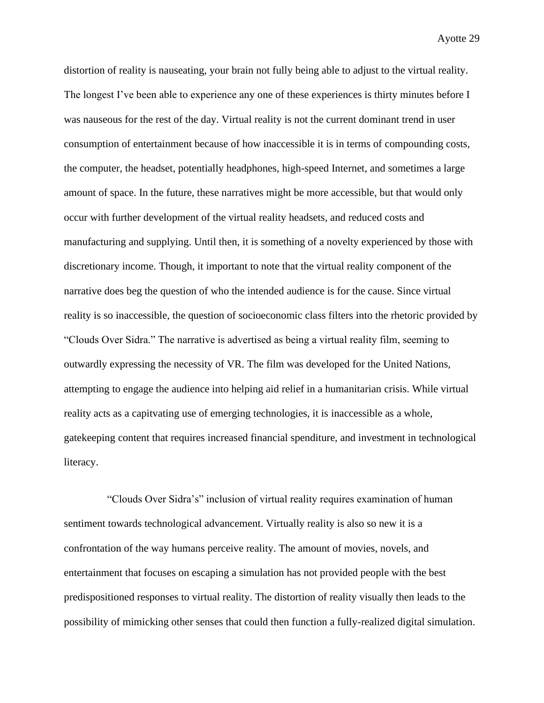distortion of reality is nauseating, your brain not fully being able to adjust to the virtual reality. The longest I've been able to experience any one of these experiences is thirty minutes before I was nauseous for the rest of the day. Virtual reality is not the current dominant trend in user consumption of entertainment because of how inaccessible it is in terms of compounding costs, the computer, the headset, potentially headphones, high-speed Internet, and sometimes a large amount of space. In the future, these narratives might be more accessible, but that would only occur with further development of the virtual reality headsets, and reduced costs and manufacturing and supplying. Until then, it is something of a novelty experienced by those with discretionary income. Though, it important to note that the virtual reality component of the narrative does beg the question of who the intended audience is for the cause. Since virtual reality is so inaccessible, the question of socioeconomic class filters into the rhetoric provided by "Clouds Over Sidra." The narrative is advertised as being a virtual reality film, seeming to outwardly expressing the necessity of VR. The film was developed for the United Nations, attempting to engage the audience into helping aid relief in a humanitarian crisis. While virtual reality acts as a capitvating use of emerging technologies, it is inaccessible as a whole, gatekeeping content that requires increased financial spenditure, and investment in technological literacy.

"Clouds Over Sidra's" inclusion of virtual reality requires examination of human sentiment towards technological advancement. Virtually reality is also so new it is a confrontation of the way humans perceive reality. The amount of movies, novels, and entertainment that focuses on escaping a simulation has not provided people with the best predispositioned responses to virtual reality. The distortion of reality visually then leads to the possibility of mimicking other senses that could then function a fully-realized digital simulation.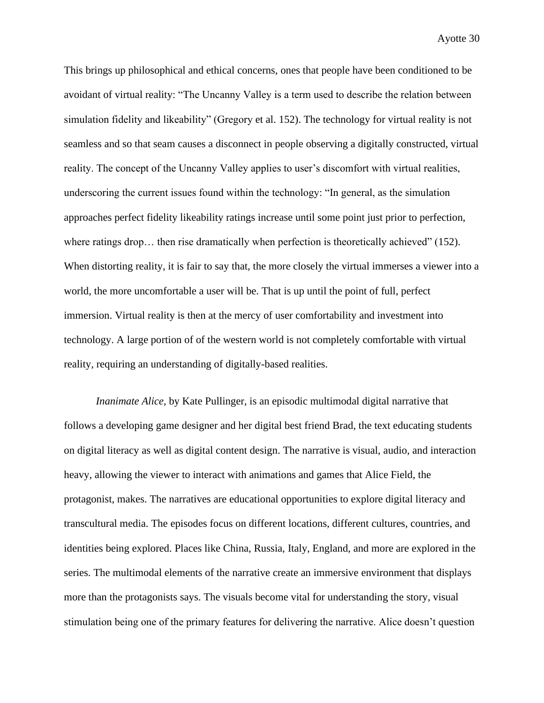This brings up philosophical and ethical concerns, ones that people have been conditioned to be avoidant of virtual reality: "The Uncanny Valley is a term used to describe the relation between simulation fidelity and likeability" (Gregory et al. 152). The technology for virtual reality is not seamless and so that seam causes a disconnect in people observing a digitally constructed, virtual reality. The concept of the Uncanny Valley applies to user's discomfort with virtual realities, underscoring the current issues found within the technology: "In general, as the simulation approaches perfect fidelity likeability ratings increase until some point just prior to perfection, where ratings drop… then rise dramatically when perfection is theoretically achieved" (152). When distorting reality, it is fair to say that, the more closely the virtual immerses a viewer into a world, the more uncomfortable a user will be. That is up until the point of full, perfect immersion. Virtual reality is then at the mercy of user comfortability and investment into technology. A large portion of of the western world is not completely comfortable with virtual reality, requiring an understanding of digitally-based realities.

*Inanimate Alice,* by Kate Pullinger, is an episodic multimodal digital narrative that follows a developing game designer and her digital best friend Brad, the text educating students on digital literacy as well as digital content design. The narrative is visual, audio, and interaction heavy, allowing the viewer to interact with animations and games that Alice Field, the protagonist, makes. The narratives are educational opportunities to explore digital literacy and transcultural media. The episodes focus on different locations, different cultures, countries, and identities being explored. Places like China, Russia, Italy, England, and more are explored in the series. The multimodal elements of the narrative create an immersive environment that displays more than the protagonists says. The visuals become vital for understanding the story, visual stimulation being one of the primary features for delivering the narrative. Alice doesn't question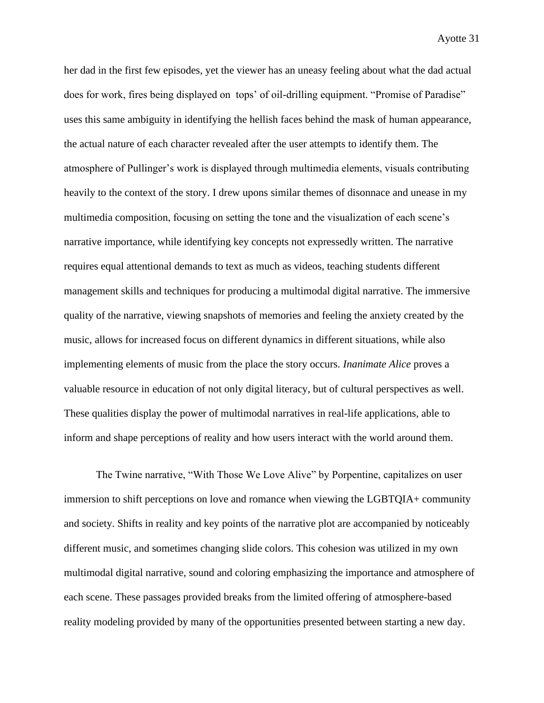her dad in the first few episodes, yet the viewer has an uneasy feeling about what the dad actual does for work, fires being displayed on tops' of oil-drilling equipment. "Promise of Paradise" uses this same ambiguity in identifying the hellish faces behind the mask of human appearance, the actual nature of each character revealed after the user attempts to identify them. The atmosphere of Pullinger's work is displayed through multimedia elements, visuals contributing heavily to the context of the story. I drew upons similar themes of disonnace and unease in my multimedia composition, focusing on setting the tone and the visualization of each scene's narrative importance, while identifying key concepts not expressedly written. The narrative requires equal attentional demands to text as much as videos, teaching students different management skills and techniques for producing a multimodal digital narrative. The immersive quality of the narrative, viewing snapshots of memories and feeling the anxiety created by the music, allows for increased focus on different dynamics in different situations, while also implementing elements of music from the place the story occurs. *Inanimate Alice* proves a valuable resource in education of not only digital literacy, but of cultural perspectives as well. These qualities display the power of multimodal narratives in real-life applications, able to inform and shape perceptions of reality and how users interact with the world around them.

The Twine narrative, "With Those We Love Alive" by Porpentine, capitalizes on user immersion to shift perceptions on love and romance when viewing the LGBTQIA+ community and society. Shifts in reality and key points of the narrative plot are accompanied by noticeably different music, and sometimes changing slide colors. This cohesion was utilized in my own multimodal digital narrative, sound and coloring emphasizing the importance and atmosphere of each scene. These passages provided breaks from the limited offering of atmosphere-based reality modeling provided by many of the opportunities presented between starting a new day.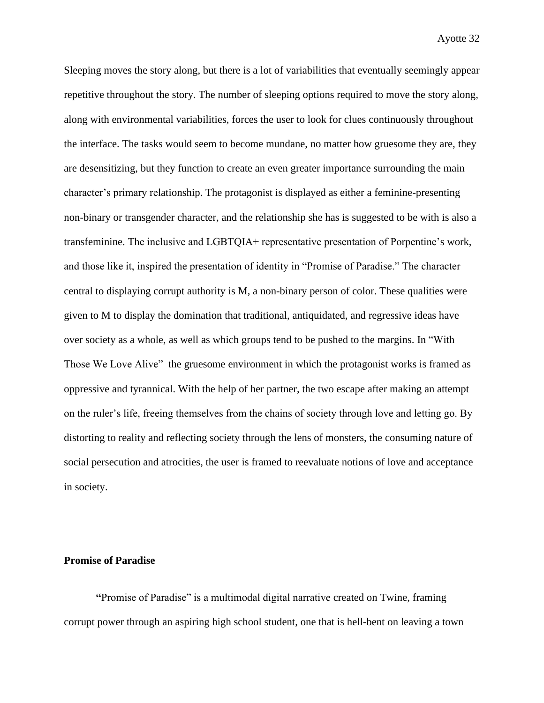Sleeping moves the story along, but there is a lot of variabilities that eventually seemingly appear repetitive throughout the story. The number of sleeping options required to move the story along, along with environmental variabilities, forces the user to look for clues continuously throughout the interface. The tasks would seem to become mundane, no matter how gruesome they are, they are desensitizing, but they function to create an even greater importance surrounding the main character's primary relationship. The protagonist is displayed as either a feminine-presenting non-binary or transgender character, and the relationship she has is suggested to be with is also a transfeminine. The inclusive and LGBTQIA+ representative presentation of Porpentine's work, and those like it, inspired the presentation of identity in "Promise of Paradise." The character central to displaying corrupt authority is M, a non-binary person of color. These qualities were given to M to display the domination that traditional, antiquidated, and regressive ideas have over society as a whole, as well as which groups tend to be pushed to the margins. In "With Those We Love Alive" the gruesome environment in which the protagonist works is framed as oppressive and tyrannical. With the help of her partner, the two escape after making an attempt on the ruler's life, freeing themselves from the chains of society through love and letting go. By distorting to reality and reflecting society through the lens of monsters, the consuming nature of social persecution and atrocities, the user is framed to reevaluate notions of love and acceptance in society.

#### **Promise of Paradise**

**"**Promise of Paradise" is a multimodal digital narrative created on Twine, framing corrupt power through an aspiring high school student, one that is hell-bent on leaving a town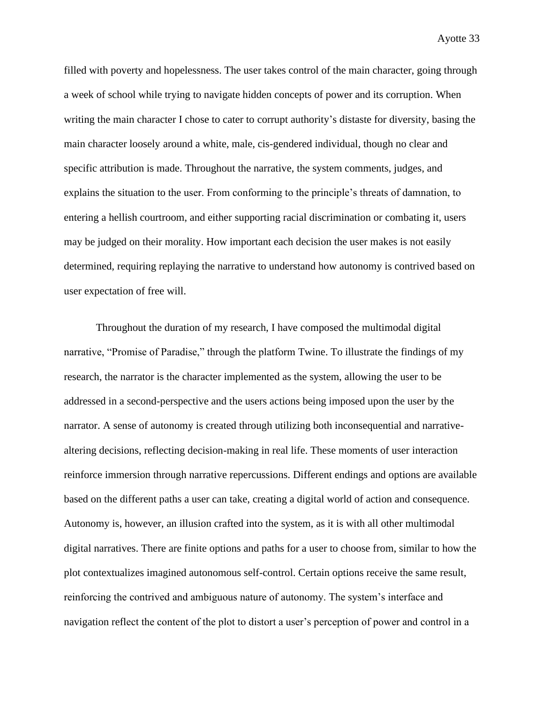filled with poverty and hopelessness. The user takes control of the main character, going through a week of school while trying to navigate hidden concepts of power and its corruption. When writing the main character I chose to cater to corrupt authority's distaste for diversity, basing the main character loosely around a white, male, cis-gendered individual, though no clear and specific attribution is made. Throughout the narrative, the system comments, judges, and explains the situation to the user. From conforming to the principle's threats of damnation, to entering a hellish courtroom, and either supporting racial discrimination or combating it, users may be judged on their morality. How important each decision the user makes is not easily determined, requiring replaying the narrative to understand how autonomy is contrived based on user expectation of free will.

Throughout the duration of my research, I have composed the multimodal digital narrative, "Promise of Paradise," through the platform Twine. To illustrate the findings of my research, the narrator is the character implemented as the system, allowing the user to be addressed in a second-perspective and the users actions being imposed upon the user by the narrator. A sense of autonomy is created through utilizing both inconsequential and narrativealtering decisions, reflecting decision-making in real life. These moments of user interaction reinforce immersion through narrative repercussions. Different endings and options are available based on the different paths a user can take, creating a digital world of action and consequence. Autonomy is, however, an illusion crafted into the system, as it is with all other multimodal digital narratives. There are finite options and paths for a user to choose from, similar to how the plot contextualizes imagined autonomous self-control. Certain options receive the same result, reinforcing the contrived and ambiguous nature of autonomy. The system's interface and navigation reflect the content of the plot to distort a user's perception of power and control in a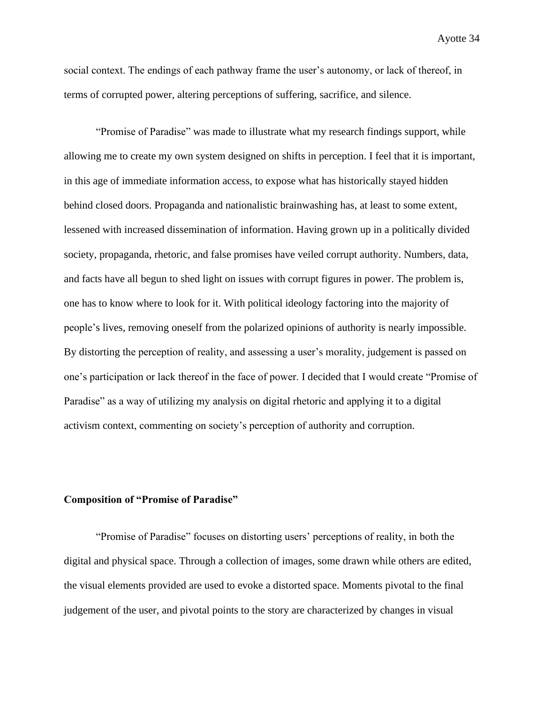social context. The endings of each pathway frame the user's autonomy, or lack of thereof, in terms of corrupted power, altering perceptions of suffering, sacrifice, and silence.

"Promise of Paradise" was made to illustrate what my research findings support, while allowing me to create my own system designed on shifts in perception. I feel that it is important, in this age of immediate information access, to expose what has historically stayed hidden behind closed doors. Propaganda and nationalistic brainwashing has, at least to some extent, lessened with increased dissemination of information. Having grown up in a politically divided society, propaganda, rhetoric, and false promises have veiled corrupt authority. Numbers, data, and facts have all begun to shed light on issues with corrupt figures in power. The problem is, one has to know where to look for it. With political ideology factoring into the majority of people's lives, removing oneself from the polarized opinions of authority is nearly impossible. By distorting the perception of reality, and assessing a user's morality, judgement is passed on one's participation or lack thereof in the face of power. I decided that I would create "Promise of Paradise" as a way of utilizing my analysis on digital rhetoric and applying it to a digital activism context, commenting on society's perception of authority and corruption.

# **Composition of "Promise of Paradise"**

"Promise of Paradise" focuses on distorting users' perceptions of reality, in both the digital and physical space. Through a collection of images, some drawn while others are edited, the visual elements provided are used to evoke a distorted space. Moments pivotal to the final judgement of the user, and pivotal points to the story are characterized by changes in visual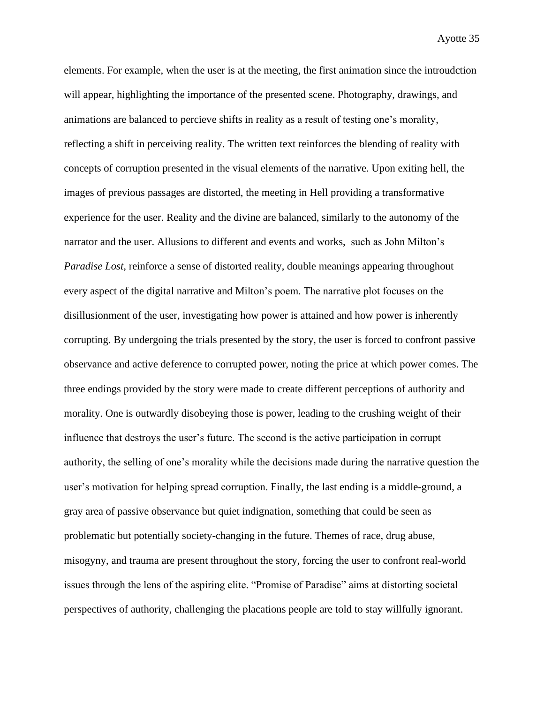elements. For example, when the user is at the meeting, the first animation since the introudction will appear, highlighting the importance of the presented scene. Photography, drawings, and animations are balanced to percieve shifts in reality as a result of testing one's morality, reflecting a shift in perceiving reality. The written text reinforces the blending of reality with concepts of corruption presented in the visual elements of the narrative. Upon exiting hell, the images of previous passages are distorted, the meeting in Hell providing a transformative experience for the user. Reality and the divine are balanced, similarly to the autonomy of the narrator and the user. Allusions to different and events and works, such as John Milton's *Paradise Lost,* reinforce a sense of distorted reality, double meanings appearing throughout every aspect of the digital narrative and Milton's poem. The narrative plot focuses on the disillusionment of the user, investigating how power is attained and how power is inherently corrupting. By undergoing the trials presented by the story, the user is forced to confront passive observance and active deference to corrupted power, noting the price at which power comes. The three endings provided by the story were made to create different perceptions of authority and morality. One is outwardly disobeying those is power, leading to the crushing weight of their influence that destroys the user's future. The second is the active participation in corrupt authority, the selling of one's morality while the decisions made during the narrative question the user's motivation for helping spread corruption. Finally, the last ending is a middle-ground, a gray area of passive observance but quiet indignation, something that could be seen as problematic but potentially society-changing in the future. Themes of race, drug abuse, misogyny, and trauma are present throughout the story, forcing the user to confront real-world issues through the lens of the aspiring elite. "Promise of Paradise" aims at distorting societal perspectives of authority, challenging the placations people are told to stay willfully ignorant.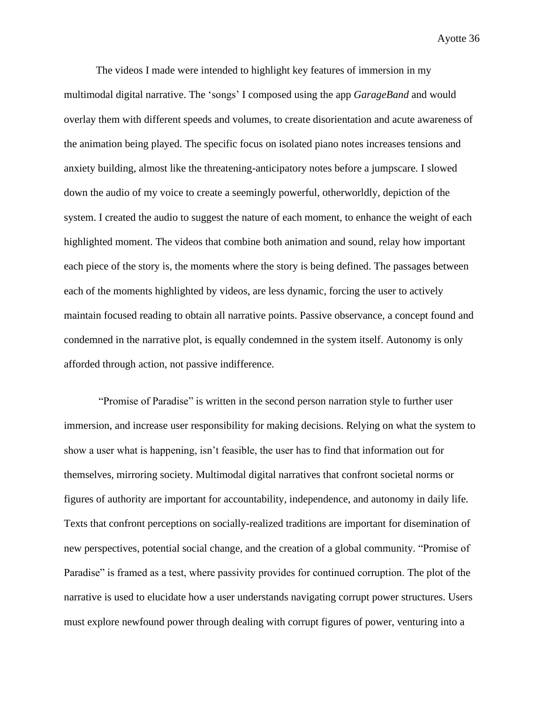The videos I made were intended to highlight key features of immersion in my multimodal digital narrative. The 'songs' I composed using the app *GarageBand* and would overlay them with different speeds and volumes, to create disorientation and acute awareness of the animation being played. The specific focus on isolated piano notes increases tensions and anxiety building, almost like the threatening-anticipatory notes before a jumpscare. I slowed down the audio of my voice to create a seemingly powerful, otherworldly, depiction of the system. I created the audio to suggest the nature of each moment, to enhance the weight of each highlighted moment. The videos that combine both animation and sound, relay how important each piece of the story is, the moments where the story is being defined. The passages between each of the moments highlighted by videos, are less dynamic, forcing the user to actively maintain focused reading to obtain all narrative points. Passive observance, a concept found and condemned in the narrative plot, is equally condemned in the system itself. Autonomy is only afforded through action, not passive indifference.

"Promise of Paradise" is written in the second person narration style to further user immersion, and increase user responsibility for making decisions. Relying on what the system to show a user what is happening, isn't feasible, the user has to find that information out for themselves, mirroring society. Multimodal digital narratives that confront societal norms or figures of authority are important for accountability, independence, and autonomy in daily life. Texts that confront perceptions on socially-realized traditions are important for disemination of new perspectives, potential social change, and the creation of a global community. "Promise of Paradise" is framed as a test, where passivity provides for continued corruption. The plot of the narrative is used to elucidate how a user understands navigating corrupt power structures. Users must explore newfound power through dealing with corrupt figures of power, venturing into a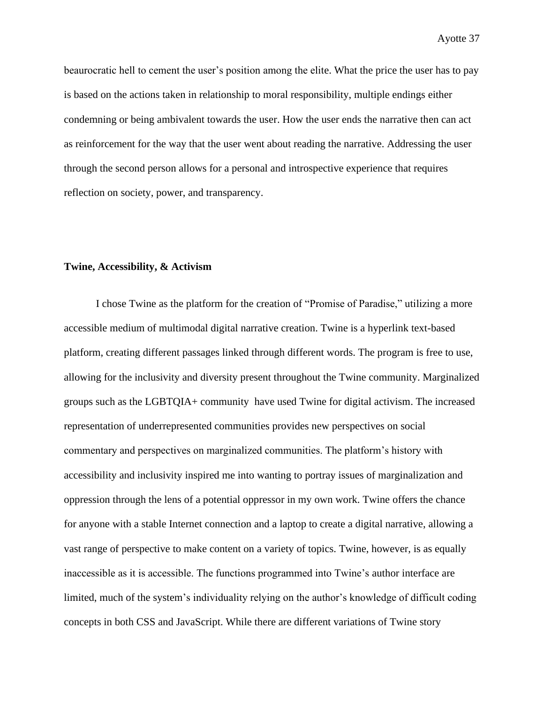beaurocratic hell to cement the user's position among the elite. What the price the user has to pay is based on the actions taken in relationship to moral responsibility, multiple endings either condemning or being ambivalent towards the user. How the user ends the narrative then can act as reinforcement for the way that the user went about reading the narrative. Addressing the user through the second person allows for a personal and introspective experience that requires reflection on society, power, and transparency.

# **Twine, Accessibility, & Activism**

I chose Twine as the platform for the creation of "Promise of Paradise," utilizing a more accessible medium of multimodal digital narrative creation. Twine is a hyperlink text-based platform, creating different passages linked through different words. The program is free to use, allowing for the inclusivity and diversity present throughout the Twine community. Marginalized groups such as the LGBTQIA+ community have used Twine for digital activism. The increased representation of underrepresented communities provides new perspectives on social commentary and perspectives on marginalized communities. The platform's history with accessibility and inclusivity inspired me into wanting to portray issues of marginalization and oppression through the lens of a potential oppressor in my own work. Twine offers the chance for anyone with a stable Internet connection and a laptop to create a digital narrative, allowing a vast range of perspective to make content on a variety of topics. Twine, however, is as equally inaccessible as it is accessible. The functions programmed into Twine's author interface are limited, much of the system's individuality relying on the author's knowledge of difficult coding concepts in both CSS and JavaScript. While there are different variations of Twine story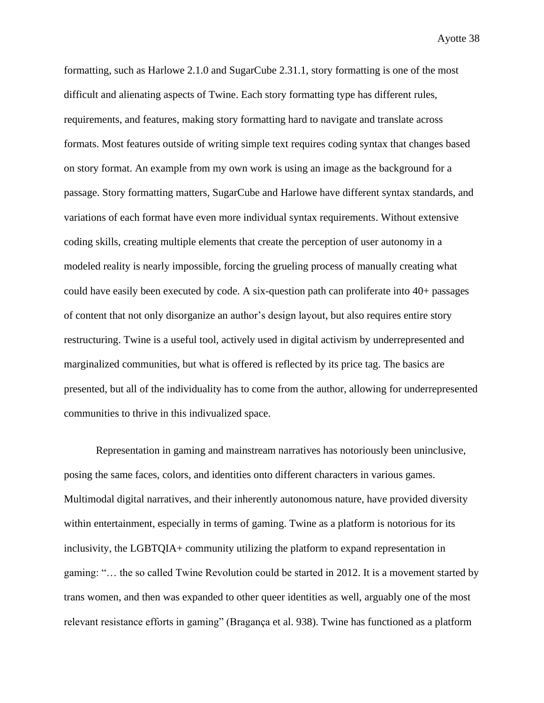formatting, such as Harlowe 2.1.0 and SugarCube 2.31.1, story formatting is one of the most difficult and alienating aspects of Twine. Each story formatting type has different rules, requirements, and features, making story formatting hard to navigate and translate across formats. Most features outside of writing simple text requires coding syntax that changes based on story format. An example from my own work is using an image as the background for a passage. Story formatting matters, SugarCube and Harlowe have different syntax standards, and variations of each format have even more individual syntax requirements. Without extensive coding skills, creating multiple elements that create the perception of user autonomy in a modeled reality is nearly impossible, forcing the grueling process of manually creating what could have easily been executed by code. A six-question path can proliferate into 40+ passages of content that not only disorganize an author's design layout, but also requires entire story restructuring. Twine is a useful tool, actively used in digital activism by underrepresented and marginalized communities, but what is offered is reflected by its price tag. The basics are presented, but all of the individuality has to come from the author, allowing for underrepresented communities to thrive in this indivualized space.

Representation in gaming and mainstream narratives has notoriously been uninclusive, posing the same faces, colors, and identities onto different characters in various games. Multimodal digital narratives, and their inherently autonomous nature, have provided diversity within entertainment, especially in terms of gaming. Twine as a platform is notorious for its inclusivity, the LGBTQIA+ community utilizing the platform to expand representation in gaming: "… the so called Twine Revolution could be started in 2012. It is a movement started by trans women, and then was expanded to other queer identities as well, arguably one of the most relevant resistance efforts in gaming" (Bragança et al. 938). Twine has functioned as a platform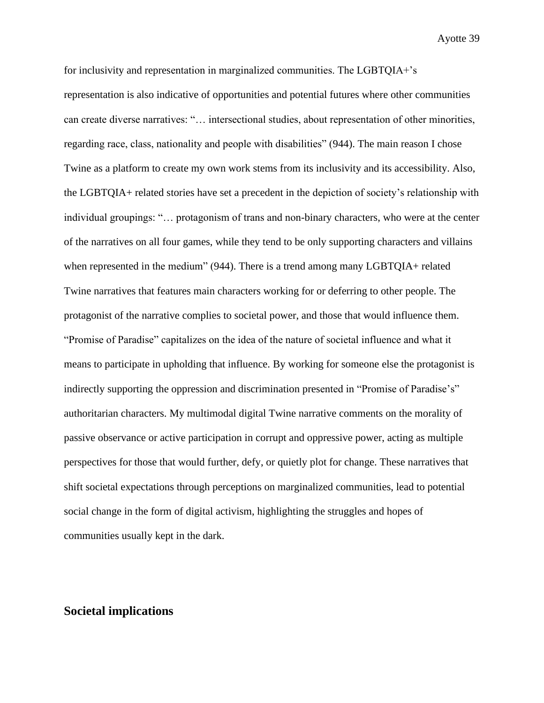for inclusivity and representation in marginalized communities. The LGBTQIA+'s representation is also indicative of opportunities and potential futures where other communities can create diverse narratives: "… intersectional studies, about representation of other minorities, regarding race, class, nationality and people with disabilities" (944). The main reason I chose Twine as a platform to create my own work stems from its inclusivity and its accessibility. Also, the LGBTQIA+ related stories have set a precedent in the depiction of society's relationship with individual groupings: "… protagonism of trans and non-binary characters, who were at the center of the narratives on all four games, while they tend to be only supporting characters and villains when represented in the medium" (944). There is a trend among many LGBTQIA+ related Twine narratives that features main characters working for or deferring to other people. The protagonist of the narrative complies to societal power, and those that would influence them. "Promise of Paradise" capitalizes on the idea of the nature of societal influence and what it means to participate in upholding that influence. By working for someone else the protagonist is indirectly supporting the oppression and discrimination presented in "Promise of Paradise's" authoritarian characters. My multimodal digital Twine narrative comments on the morality of passive observance or active participation in corrupt and oppressive power, acting as multiple perspectives for those that would further, defy, or quietly plot for change. These narratives that shift societal expectations through perceptions on marginalized communities, lead to potential social change in the form of digital activism, highlighting the struggles and hopes of communities usually kept in the dark.

# **Societal implications**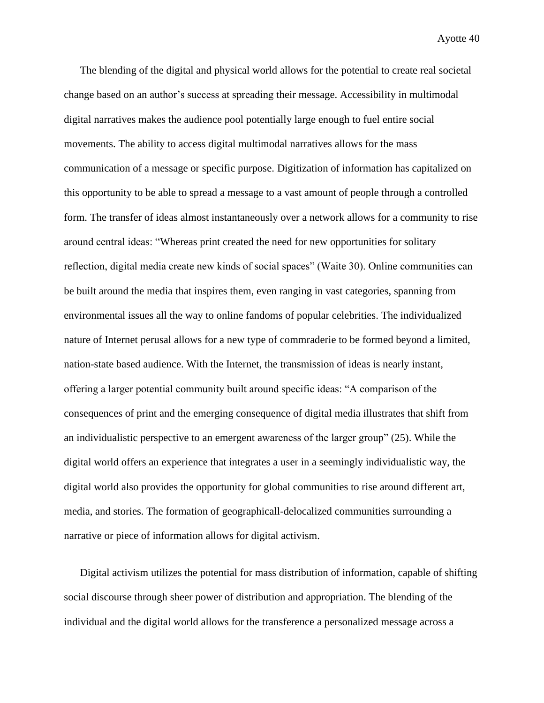The blending of the digital and physical world allows for the potential to create real societal change based on an author's success at spreading their message. Accessibility in multimodal digital narratives makes the audience pool potentially large enough to fuel entire social movements. The ability to access digital multimodal narratives allows for the mass communication of a message or specific purpose. Digitization of information has capitalized on this opportunity to be able to spread a message to a vast amount of people through a controlled form. The transfer of ideas almost instantaneously over a network allows for a community to rise around central ideas: "Whereas print created the need for new opportunities for solitary reflection, digital media create new kinds of social spaces" (Waite 30). Online communities can be built around the media that inspires them, even ranging in vast categories, spanning from environmental issues all the way to online fandoms of popular celebrities. The individualized nature of Internet perusal allows for a new type of commraderie to be formed beyond a limited, nation-state based audience. With the Internet, the transmission of ideas is nearly instant, offering a larger potential community built around specific ideas: "A comparison of the consequences of print and the emerging consequence of digital media illustrates that shift from an individualistic perspective to an emergent awareness of the larger group" (25). While the digital world offers an experience that integrates a user in a seemingly individualistic way, the digital world also provides the opportunity for global communities to rise around different art, media, and stories. The formation of geographicall-delocalized communities surrounding a narrative or piece of information allows for digital activism.

Digital activism utilizes the potential for mass distribution of information, capable of shifting social discourse through sheer power of distribution and appropriation. The blending of the individual and the digital world allows for the transference a personalized message across a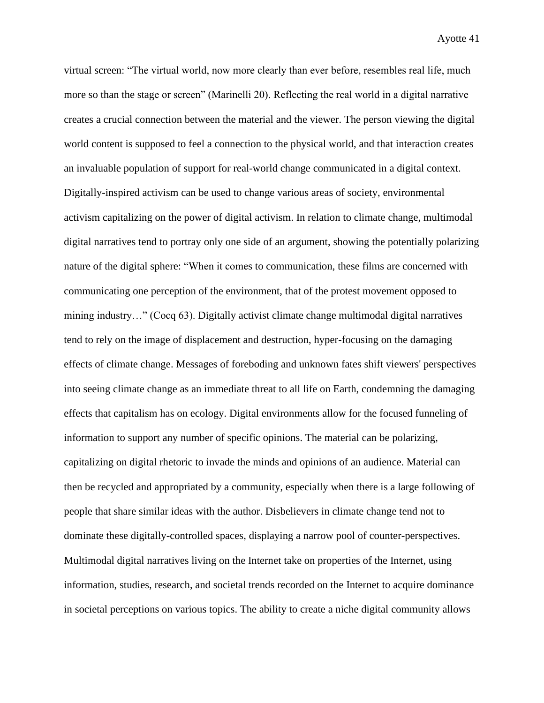virtual screen: "The virtual world, now more clearly than ever before, resembles real life, much more so than the stage or screen" (Marinelli 20). Reflecting the real world in a digital narrative creates a crucial connection between the material and the viewer. The person viewing the digital world content is supposed to feel a connection to the physical world, and that interaction creates an invaluable population of support for real-world change communicated in a digital context. Digitally-inspired activism can be used to change various areas of society, environmental activism capitalizing on the power of digital activism. In relation to climate change, multimodal digital narratives tend to portray only one side of an argument, showing the potentially polarizing nature of the digital sphere: "When it comes to communication, these films are concerned with communicating one perception of the environment, that of the protest movement opposed to mining industry…" (Cocq 63). Digitally activist climate change multimodal digital narratives tend to rely on the image of displacement and destruction, hyper-focusing on the damaging effects of climate change. Messages of foreboding and unknown fates shift viewers' perspectives into seeing climate change as an immediate threat to all life on Earth, condemning the damaging effects that capitalism has on ecology. Digital environments allow for the focused funneling of information to support any number of specific opinions. The material can be polarizing, capitalizing on digital rhetoric to invade the minds and opinions of an audience. Material can then be recycled and appropriated by a community, especially when there is a large following of people that share similar ideas with the author. Disbelievers in climate change tend not to dominate these digitally-controlled spaces, displaying a narrow pool of counter-perspectives. Multimodal digital narratives living on the Internet take on properties of the Internet, using information, studies, research, and societal trends recorded on the Internet to acquire dominance in societal perceptions on various topics. The ability to create a niche digital community allows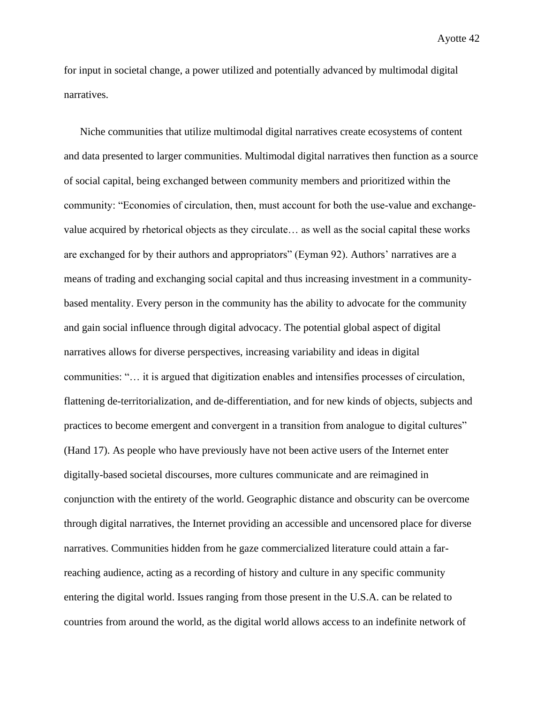for input in societal change, a power utilized and potentially advanced by multimodal digital narratives.

Niche communities that utilize multimodal digital narratives create ecosystems of content and data presented to larger communities. Multimodal digital narratives then function as a source of social capital, being exchanged between community members and prioritized within the community: "Economies of circulation, then, must account for both the use-value and exchangevalue acquired by rhetorical objects as they circulate… as well as the social capital these works are exchanged for by their authors and appropriators" (Eyman 92). Authors' narratives are a means of trading and exchanging social capital and thus increasing investment in a communitybased mentality. Every person in the community has the ability to advocate for the community and gain social influence through digital advocacy. The potential global aspect of digital narratives allows for diverse perspectives, increasing variability and ideas in digital communities: "… it is argued that digitization enables and intensifies processes of circulation, flattening de-territorialization, and de-differentiation, and for new kinds of objects, subjects and practices to become emergent and convergent in a transition from analogue to digital cultures" (Hand 17). As people who have previously have not been active users of the Internet enter digitally-based societal discourses, more cultures communicate and are reimagined in conjunction with the entirety of the world. Geographic distance and obscurity can be overcome through digital narratives, the Internet providing an accessible and uncensored place for diverse narratives. Communities hidden from he gaze commercialized literature could attain a farreaching audience, acting as a recording of history and culture in any specific community entering the digital world. Issues ranging from those present in the U.S.A. can be related to countries from around the world, as the digital world allows access to an indefinite network of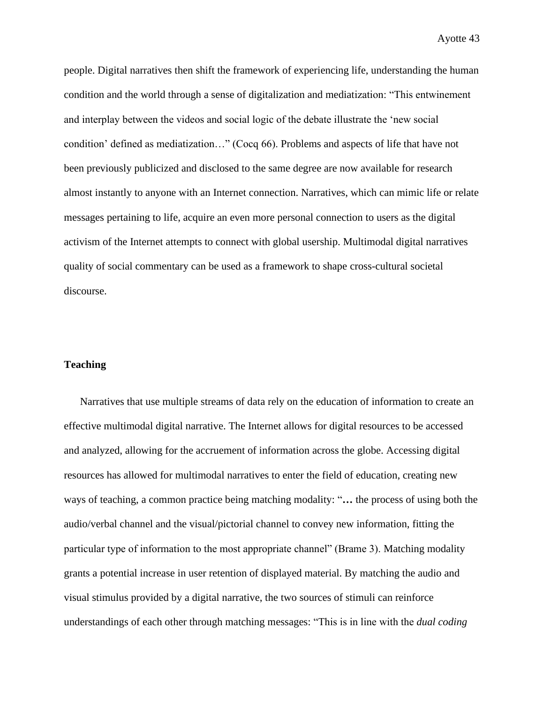people. Digital narratives then shift the framework of experiencing life, understanding the human condition and the world through a sense of digitalization and mediatization: "This entwinement and interplay between the videos and social logic of the debate illustrate the 'new social condition' defined as mediatization…" (Cocq 66). Problems and aspects of life that have not been previously publicized and disclosed to the same degree are now available for research almost instantly to anyone with an Internet connection. Narratives, which can mimic life or relate messages pertaining to life, acquire an even more personal connection to users as the digital activism of the Internet attempts to connect with global usership. Multimodal digital narratives quality of social commentary can be used as a framework to shape cross-cultural societal discourse.

### **Teaching**

Narratives that use multiple streams of data rely on the education of information to create an effective multimodal digital narrative. The Internet allows for digital resources to be accessed and analyzed, allowing for the accruement of information across the globe. Accessing digital resources has allowed for multimodal narratives to enter the field of education, creating new ways of teaching, a common practice being matching modality: "**…** the process of using both the audio/verbal channel and the visual/pictorial channel to convey new information, fitting the particular type of information to the most appropriate channel" (Brame 3). Matching modality grants a potential increase in user retention of displayed material. By matching the audio and visual stimulus provided by a digital narrative, the two sources of stimuli can reinforce understandings of each other through matching messages: "This is in line with the *dual coding*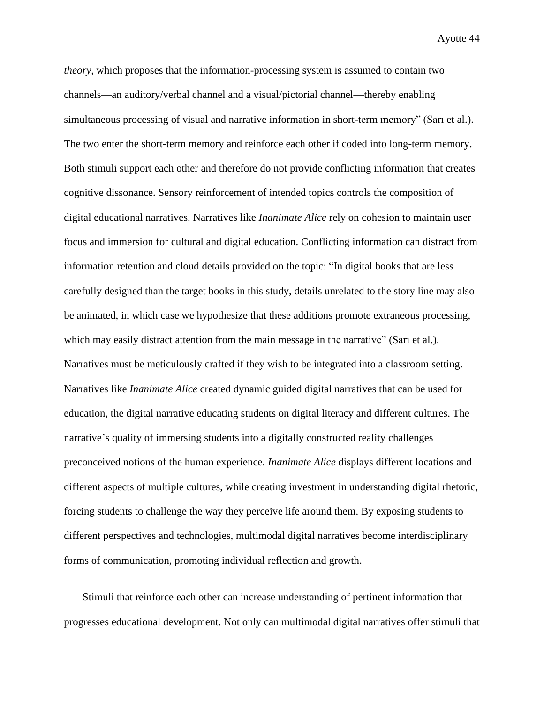*theory,* which proposes that the information-processing system is assumed to contain two channels—an auditory/verbal channel and a visual/pictorial channel—thereby enabling simultaneous processing of visual and narrative information in short-term memory" (Sarı et al.). The two enter the short-term memory and reinforce each other if coded into long-term memory. Both stimuli support each other and therefore do not provide conflicting information that creates cognitive dissonance. Sensory reinforcement of intended topics controls the composition of digital educational narratives. Narratives like *Inanimate Alice* rely on cohesion to maintain user focus and immersion for cultural and digital education. Conflicting information can distract from information retention and cloud details provided on the topic: "In digital books that are less carefully designed than the target books in this study, details unrelated to the story line may also be animated, in which case we hypothesize that these additions promote extraneous processing, which may easily distract attention from the main message in the narrative" (Sarı et al.). Narratives must be meticulously crafted if they wish to be integrated into a classroom setting. Narratives like *Inanimate Alice* created dynamic guided digital narratives that can be used for education, the digital narrative educating students on digital literacy and different cultures. The narrative's quality of immersing students into a digitally constructed reality challenges preconceived notions of the human experience. *Inanimate Alice* displays different locations and different aspects of multiple cultures, while creating investment in understanding digital rhetoric, forcing students to challenge the way they perceive life around them. By exposing students to different perspectives and technologies, multimodal digital narratives become interdisciplinary forms of communication, promoting individual reflection and growth.

Stimuli that reinforce each other can increase understanding of pertinent information that progresses educational development. Not only can multimodal digital narratives offer stimuli that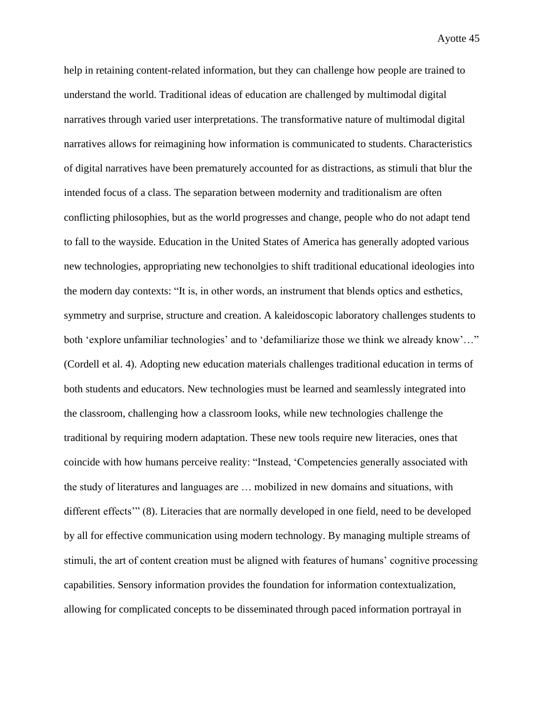help in retaining content-related information, but they can challenge how people are trained to understand the world. Traditional ideas of education are challenged by multimodal digital narratives through varied user interpretations. The transformative nature of multimodal digital narratives allows for reimagining how information is communicated to students. Characteristics of digital narratives have been prematurely accounted for as distractions, as stimuli that blur the intended focus of a class. The separation between modernity and traditionalism are often conflicting philosophies, but as the world progresses and change, people who do not adapt tend to fall to the wayside. Education in the United States of America has generally adopted various new technologies, appropriating new techonolgies to shift traditional educational ideologies into the modern day contexts: "It is, in other words, an instrument that blends optics and esthetics, symmetry and surprise, structure and creation. A kaleidoscopic laboratory challenges students to both 'explore unfamiliar technologies' and to 'defamiliarize those we think we already know'..." (Cordell et al. 4). Adopting new education materials challenges traditional education in terms of both students and educators. New technologies must be learned and seamlessly integrated into the classroom, challenging how a classroom looks, while new technologies challenge the traditional by requiring modern adaptation. These new tools require new literacies, ones that coincide with how humans perceive reality: "Instead, 'Competencies generally associated with the study of literatures and languages are … mobilized in new domains and situations, with different effects'" (8). Literacies that are normally developed in one field, need to be developed by all for effective communication using modern technology. By managing multiple streams of stimuli, the art of content creation must be aligned with features of humans' cognitive processing capabilities. Sensory information provides the foundation for information contextualization, allowing for complicated concepts to be disseminated through paced information portrayal in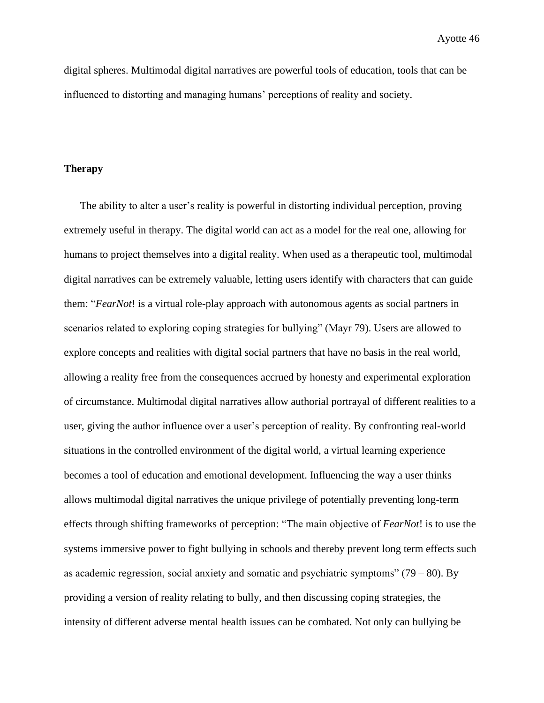digital spheres. Multimodal digital narratives are powerful tools of education, tools that can be influenced to distorting and managing humans' perceptions of reality and society.

# **Therapy**

The ability to alter a user's reality is powerful in distorting individual perception, proving extremely useful in therapy. The digital world can act as a model for the real one, allowing for humans to project themselves into a digital reality. When used as a therapeutic tool, multimodal digital narratives can be extremely valuable, letting users identify with characters that can guide them: "*FearNot*! is a virtual role-play approach with autonomous agents as social partners in scenarios related to exploring coping strategies for bullying" (Mayr 79). Users are allowed to explore concepts and realities with digital social partners that have no basis in the real world, allowing a reality free from the consequences accrued by honesty and experimental exploration of circumstance. Multimodal digital narratives allow authorial portrayal of different realities to a user, giving the author influence over a user's perception of reality. By confronting real-world situations in the controlled environment of the digital world, a virtual learning experience becomes a tool of education and emotional development. Influencing the way a user thinks allows multimodal digital narratives the unique privilege of potentially preventing long-term effects through shifting frameworks of perception: "The main objective of *FearNot*! is to use the systems immersive power to fight bullying in schools and thereby prevent long term effects such as academic regression, social anxiety and somatic and psychiatric symptoms"  $(79 - 80)$ . By providing a version of reality relating to bully, and then discussing coping strategies, the intensity of different adverse mental health issues can be combated. Not only can bullying be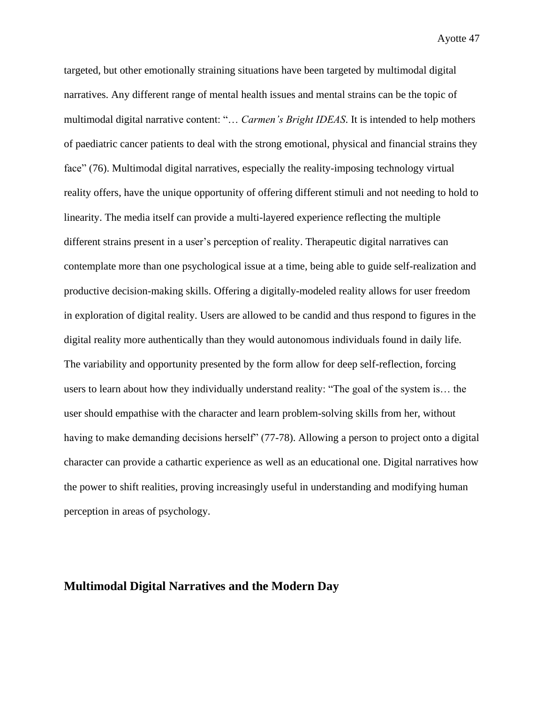targeted, but other emotionally straining situations have been targeted by multimodal digital narratives. Any different range of mental health issues and mental strains can be the topic of multimodal digital narrative content: "… *Carmen's Bright IDEAS*. It is intended to help mothers of paediatric cancer patients to deal with the strong emotional, physical and financial strains they face" (76). Multimodal digital narratives, especially the reality-imposing technology virtual reality offers, have the unique opportunity of offering different stimuli and not needing to hold to linearity. The media itself can provide a multi-layered experience reflecting the multiple different strains present in a user's perception of reality. Therapeutic digital narratives can contemplate more than one psychological issue at a time, being able to guide self-realization and productive decision-making skills. Offering a digitally-modeled reality allows for user freedom in exploration of digital reality. Users are allowed to be candid and thus respond to figures in the digital reality more authentically than they would autonomous individuals found in daily life. The variability and opportunity presented by the form allow for deep self-reflection, forcing users to learn about how they individually understand reality: "The goal of the system is… the user should empathise with the character and learn problem-solving skills from her, without having to make demanding decisions herself" (77-78). Allowing a person to project onto a digital character can provide a cathartic experience as well as an educational one. Digital narratives how the power to shift realities, proving increasingly useful in understanding and modifying human perception in areas of psychology.

# **Multimodal Digital Narratives and the Modern Day**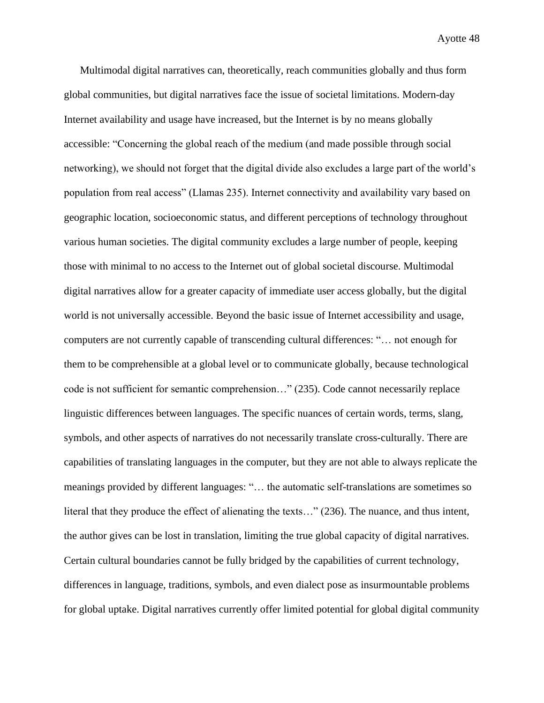Multimodal digital narratives can, theoretically, reach communities globally and thus form global communities, but digital narratives face the issue of societal limitations. Modern-day Internet availability and usage have increased, but the Internet is by no means globally accessible: "Concerning the global reach of the medium (and made possible through social networking), we should not forget that the digital divide also excludes a large part of the world's population from real access" (Llamas 235). Internet connectivity and availability vary based on geographic location, socioeconomic status, and different perceptions of technology throughout various human societies. The digital community excludes a large number of people, keeping those with minimal to no access to the Internet out of global societal discourse. Multimodal digital narratives allow for a greater capacity of immediate user access globally, but the digital world is not universally accessible. Beyond the basic issue of Internet accessibility and usage, computers are not currently capable of transcending cultural differences: "… not enough for them to be comprehensible at a global level or to communicate globally, because technological code is not sufficient for semantic comprehension…" (235). Code cannot necessarily replace linguistic differences between languages. The specific nuances of certain words, terms, slang, symbols, and other aspects of narratives do not necessarily translate cross-culturally. There are capabilities of translating languages in the computer, but they are not able to always replicate the meanings provided by different languages: "… the automatic self-translations are sometimes so literal that they produce the effect of alienating the texts…" (236). The nuance, and thus intent, the author gives can be lost in translation, limiting the true global capacity of digital narratives. Certain cultural boundaries cannot be fully bridged by the capabilities of current technology, differences in language, traditions, symbols, and even dialect pose as insurmountable problems for global uptake. Digital narratives currently offer limited potential for global digital community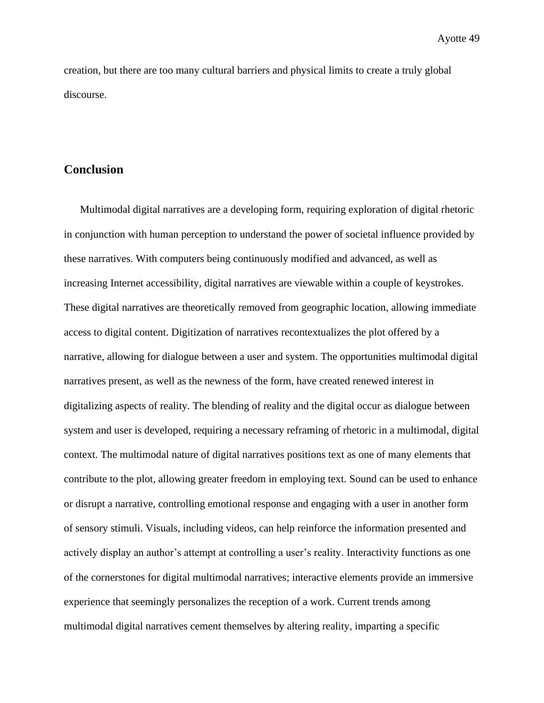creation, but there are too many cultural barriers and physical limits to create a truly global discourse.

# **Conclusion**

Multimodal digital narratives are a developing form, requiring exploration of digital rhetoric in conjunction with human perception to understand the power of societal influence provided by these narratives. With computers being continuously modified and advanced, as well as increasing Internet accessibility, digital narratives are viewable within a couple of keystrokes. These digital narratives are theoretically removed from geographic location, allowing immediate access to digital content. Digitization of narratives recontextualizes the plot offered by a narrative, allowing for dialogue between a user and system. The opportunities multimodal digital narratives present, as well as the newness of the form, have created renewed interest in digitalizing aspects of reality. The blending of reality and the digital occur as dialogue between system and user is developed, requiring a necessary reframing of rhetoric in a multimodal, digital context. The multimodal nature of digital narratives positions text as one of many elements that contribute to the plot, allowing greater freedom in employing text. Sound can be used to enhance or disrupt a narrative, controlling emotional response and engaging with a user in another form of sensory stimuli. Visuals, including videos, can help reinforce the information presented and actively display an author's attempt at controlling a user's reality. Interactivity functions as one of the cornerstones for digital multimodal narratives; interactive elements provide an immersive experience that seemingly personalizes the reception of a work. Current trends among multimodal digital narratives cement themselves by altering reality, imparting a specific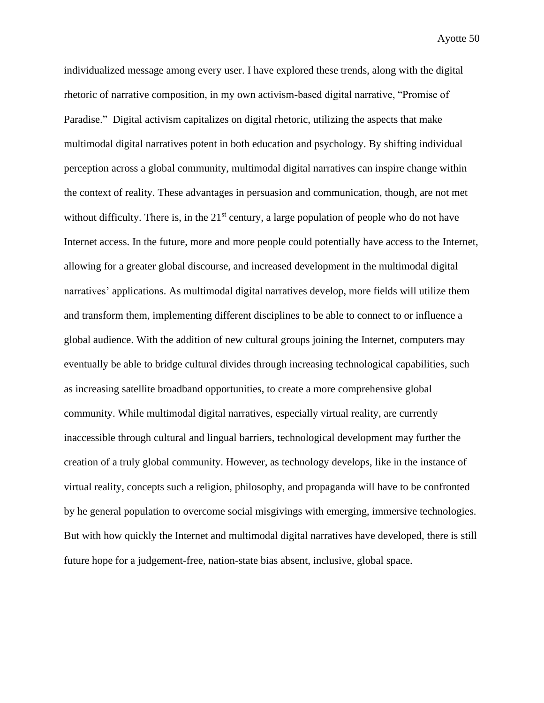individualized message among every user. I have explored these trends, along with the digital rhetoric of narrative composition, in my own activism-based digital narrative, "Promise of Paradise." Digital activism capitalizes on digital rhetoric, utilizing the aspects that make multimodal digital narratives potent in both education and psychology. By shifting individual perception across a global community, multimodal digital narratives can inspire change within the context of reality. These advantages in persuasion and communication, though, are not met without difficulty. There is, in the  $21<sup>st</sup>$  century, a large population of people who do not have Internet access. In the future, more and more people could potentially have access to the Internet, allowing for a greater global discourse, and increased development in the multimodal digital narratives' applications. As multimodal digital narratives develop, more fields will utilize them and transform them, implementing different disciplines to be able to connect to or influence a global audience. With the addition of new cultural groups joining the Internet, computers may eventually be able to bridge cultural divides through increasing technological capabilities, such as increasing satellite broadband opportunities, to create a more comprehensive global community. While multimodal digital narratives, especially virtual reality, are currently inaccessible through cultural and lingual barriers, technological development may further the creation of a truly global community. However, as technology develops, like in the instance of virtual reality, concepts such a religion, philosophy, and propaganda will have to be confronted by he general population to overcome social misgivings with emerging, immersive technologies. But with how quickly the Internet and multimodal digital narratives have developed, there is still future hope for a judgement-free, nation-state bias absent, inclusive, global space.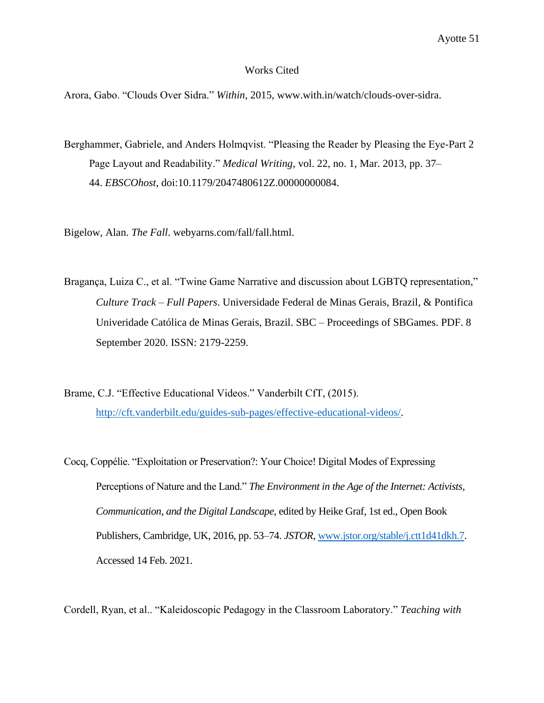#### Works Cited

Arora, Gabo. "Clouds Over Sidra." *Within*, 2015, www.with.in/watch/clouds-over-sidra.

Berghammer, Gabriele, and Anders Holmqvist. "Pleasing the Reader by Pleasing the Eye-Part 2 Page Layout and Readability." *Medical Writing*, vol. 22, no. 1, Mar. 2013, pp. 37– 44. *EBSCOhost*, doi:10.1179/2047480612Z.00000000084.

Bigelow, Alan. *The Fall*. webyarns.com/fall/fall.html.

- Bragança, Luiza C., et al. "Twine Game Narrative and discussion about LGBTQ representation," *Culture Track – Full Papers*. Universidade Federal de Minas Gerais, Brazil, & Pontifica Univeridade Católica de Minas Gerais, Brazil. SBC – Proceedings of SBGames. PDF. 8 September 2020. ISSN: 2179-2259.
- Brame, C.J. "Effective Educational Videos." Vanderbilt CfT, (2015). [http://cft.vanderbilt.edu/guides-sub-pages/effective-educational-videos/.](http://cft.vanderbilt.edu/guides-sub-pages/effective-educational-videos/)
- Cocq, Coppélie. "Exploitation or Preservation?: Your Choice! Digital Modes of Expressing Perceptions of Nature and the Land." *The Environment in the Age of the Internet: Activists, Communication, and the Digital Landscape*, edited by Heike Graf, 1st ed., Open Book Publishers, Cambridge, UK, 2016, pp. 53–74. *JSTOR*, [www.jstor.org/stable/j.ctt1d41dkh.7.](http://www.jstor.org/stable/j.ctt1d41dkh.7) Accessed 14 Feb. 2021.

Cordell, Ryan, et al.. "Kaleidoscopic Pedagogy in the Classroom Laboratory." *Teaching with*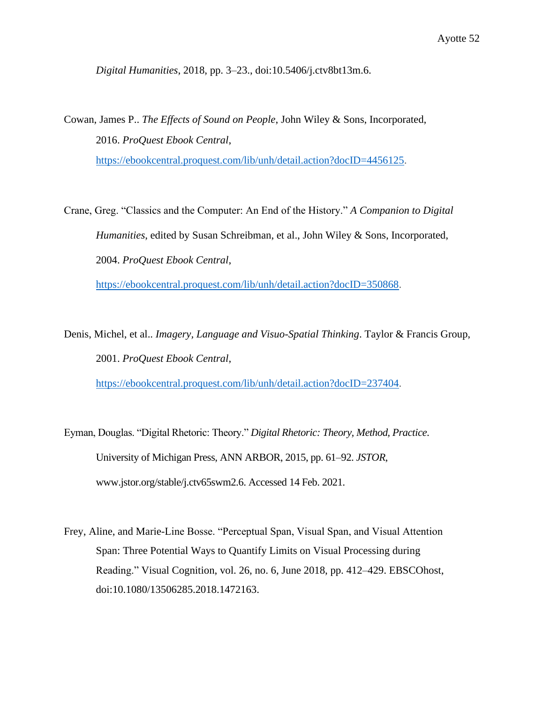*Digital Humanities*, 2018, pp. 3–23., doi:10.5406/j.ctv8bt13m.6.

Cowan, James P.. *The Effects of Sound on People*, John Wiley & Sons, Incorporated, 2016. *ProQuest Ebook Central*, [https://ebookcentral.proquest.com/lib/unh/detail.action?docID=4456125.](https://ebookcentral.proquest.com/lib/unh/detail.action?docID=4456125)

Crane, Greg. "Classics and the Computer: An End of the History." *A Companion to Digital Humanities*, edited by Susan Schreibman, et al., John Wiley & Sons, Incorporated, 2004. *ProQuest Ebook Central*,

[https://ebookcentral.proquest.com/lib/unh/detail.action?docID=350868.](https://ebookcentral.proquest.com/lib/unh/detail.action?docID=350868)

Denis, Michel, et al.. *Imagery, Language and Visuo-Spatial Thinking*. Taylor & Francis Group, 2001. *ProQuest Ebook Central*,

[https://ebookcentral.proquest.com/lib/unh/detail.action?docID=237404.](https://ebookcentral.proquest.com/lib/unh/detail.action?docID=237404)

Eyman, Douglas. "Digital Rhetoric: Theory." *Digital Rhetoric: Theory, Method, Practice*. University of Michigan Press, ANN ARBOR, 2015, pp. 61–92. *JSTOR*, www.jstor.org/stable/j.ctv65swm2.6. Accessed 14 Feb. 2021.

Frey, Aline, and Marie-Line Bosse. "Perceptual Span, Visual Span, and Visual Attention Span: Three Potential Ways to Quantify Limits on Visual Processing during Reading." Visual Cognition, vol. 26, no. 6, June 2018, pp. 412–429. EBSCOhost, doi:10.1080/13506285.2018.1472163.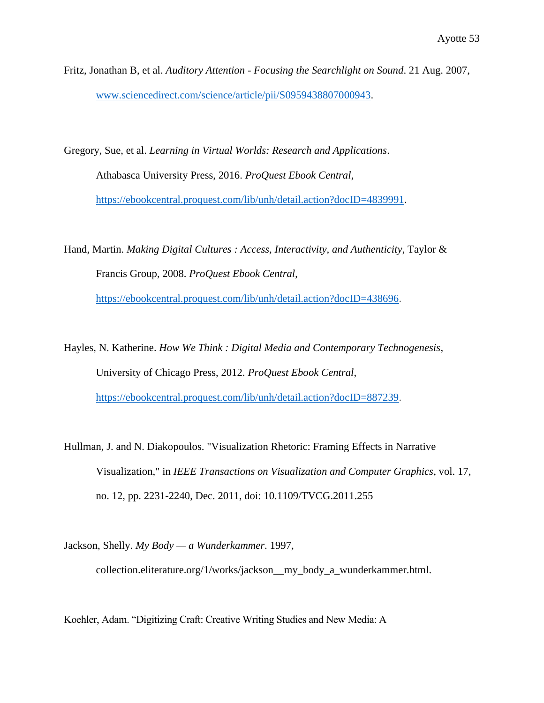Fritz, Jonathan B, et al. *Auditory Attention - Focusing the Searchlight on Sound*. 21 Aug. 2007, [www.sciencedirect.com/science/article/pii/S0959438807000943.](http://www.sciencedirect.com/science/article/pii/S0959438807000943)

Gregory, Sue, et al. *Learning in Virtual Worlds: Research and Applications*. Athabasca University Press, 2016. *ProQuest Ebook Central*, [https://ebookcentral.proquest.com/lib/unh/detail.action?docID=4839991.](https://ebookcentral.proquest.com/lib/unh/detail.action?docID=4839991)

Hand, Martin. *Making Digital Cultures : Access, Interactivity, and Authenticity*, Taylor & Francis Group, 2008. *ProQuest Ebook Central*,

[https://ebookcentral.proquest.com/lib/unh/detail.action?docID=438696.](https://ebookcentral.proquest.com/lib/unh/detail.action?docID=438696)

Hayles, N. Katherine. *How We Think : Digital Media and Contemporary Technogenesis*, University of Chicago Press, 2012. *ProQuest Ebook Central*, [https://ebookcentral.proquest.com/lib/unh/detail.action?docID=887239.](https://ebookcentral.proquest.com/lib/unh/detail.action?docID=887239)

- Hullman, J. and N. Diakopoulos. "Visualization Rhetoric: Framing Effects in Narrative Visualization," in *IEEE Transactions on Visualization and Computer Graphics*, vol. 17, no. 12, pp. 2231-2240, Dec. 2011, doi: 10.1109/TVCG.2011.255
- Jackson, Shelly. *My Body — a Wunderkammer*. 1997, collection.eliterature.org/1/works/jackson\_\_my\_body\_a\_wunderkammer.html.

Koehler, Adam. "Digitizing Craft: Creative Writing Studies and New Media: A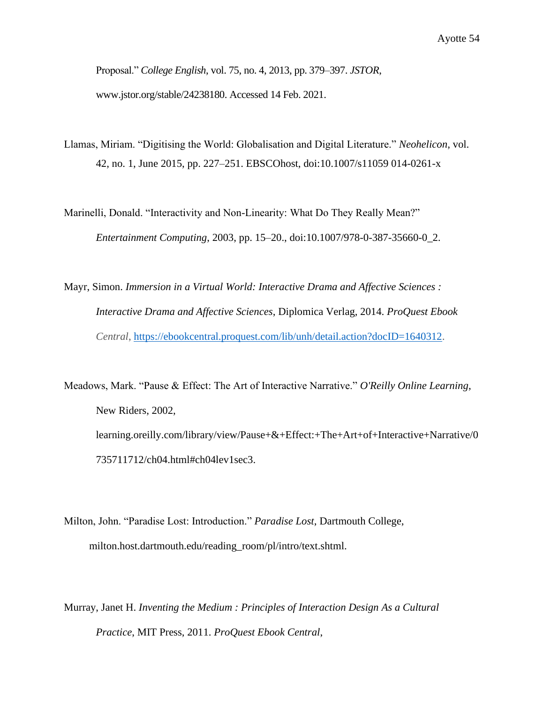Proposal." *College English*, vol. 75, no. 4, 2013, pp. 379–397. *JSTOR*, www.jstor.org/stable/24238180. Accessed 14 Feb. 2021.

Llamas, Miriam. "Digitising the World: Globalisation and Digital Literature." *Neohelicon*, vol. 42, no. 1, June 2015, pp. 227–251. EBSCOhost, doi:10.1007/s11059 014-0261-x

Marinelli, Donald. "Interactivity and Non-Linearity: What Do They Really Mean?" *Entertainment Computing*, 2003, pp. 15–20., doi:10.1007/978-0-387-35660-0\_2.

Mayr, Simon. *Immersion in a Virtual World: Interactive Drama and Affective Sciences : Interactive Drama and Affective Sciences*, Diplomica Verlag, 2014. *ProQuest Ebook Central*, [https://ebookcentral.proquest.com/lib/unh/detail.action?docID=1640312.](https://ebookcentral.proquest.com/lib/unh/detail.action?docID=1640312)

Meadows, Mark. "Pause & Effect: The Art of Interactive Narrative." *O'Reilly Online Learning*, New Riders, 2002, learning.oreilly.com/library/view/Pause+&+Effect:+The+Art+of+Interactive+Narrative/0 735711712/ch04.html#ch04lev1sec3.

Milton, John. "Paradise Lost: Introduction." *Paradise Lost*, Dartmouth College, milton.host.dartmouth.edu/reading\_room/pl/intro/text.shtml.

Murray, Janet H. *Inventing the Medium : Principles of Interaction Design As a Cultural Practice*, MIT Press, 2011. *ProQuest Ebook Central*,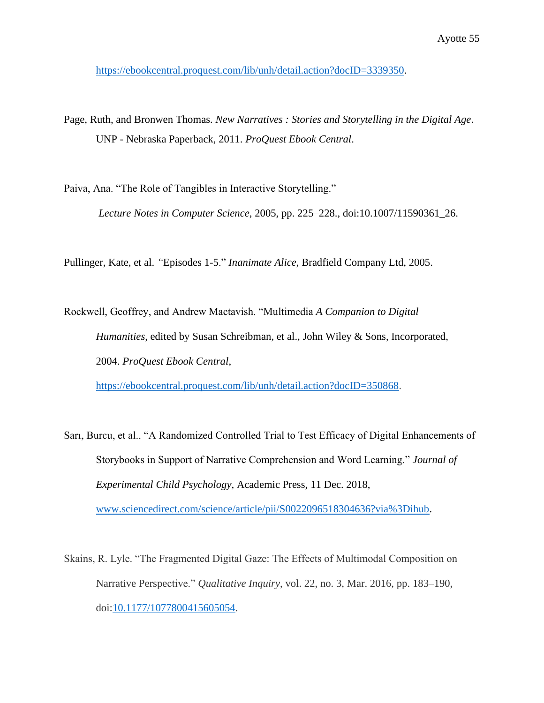[https://ebookcentral.proquest.com/lib/unh/detail.action?docID=3339350.](https://ebookcentral.proquest.com/lib/unh/detail.action?docID=3339350)

Page, Ruth, and Bronwen Thomas. *New Narratives : Stories and Storytelling in the Digital Age*. UNP - Nebraska Paperback, 2011. *ProQuest Ebook Central*.

Paiva, Ana. "The Role of Tangibles in Interactive Storytelling." *Lecture Notes in Computer Science*, 2005, pp. 225–228., doi:10.1007/11590361\_26.

Pullinger, Kate, et al. *"*Episodes 1-5." *Inanimate Alice*, Bradfield Company Ltd, 2005.

Rockwell, Geoffrey, and Andrew Mactavish. "Multimedia *A Companion to Digital Humanities*, edited by Susan Schreibman, et al., John Wiley & Sons, Incorporated, 2004. *ProQuest Ebook Central*,

[https://ebookcentral.proquest.com/lib/unh/detail.action?docID=350868.](https://ebookcentral.proquest.com/lib/unh/detail.action?docID=350868)

- Sarı, Burcu, et al.. "A Randomized Controlled Trial to Test Efficacy of Digital Enhancements of Storybooks in Support of Narrative Comprehension and Word Learning." *Journal of Experimental Child Psychology*, Academic Press, 11 Dec. 2018, [www.sciencedirect.com/science/article/pii/S0022096518304636?via%3Dihub.](http://www.sciencedirect.com/science/article/pii/S0022096518304636?via%3Dihub)
- Skains, R. Lyle. "The Fragmented Digital Gaze: The Effects of Multimodal Composition on Narrative Perspective." *Qualitative Inquiry*, vol. 22, no. 3, Mar. 2016, pp. 183–190, doi[:10.1177/1077800415605054.](https://doi.org/10.1177/1077800415605054)